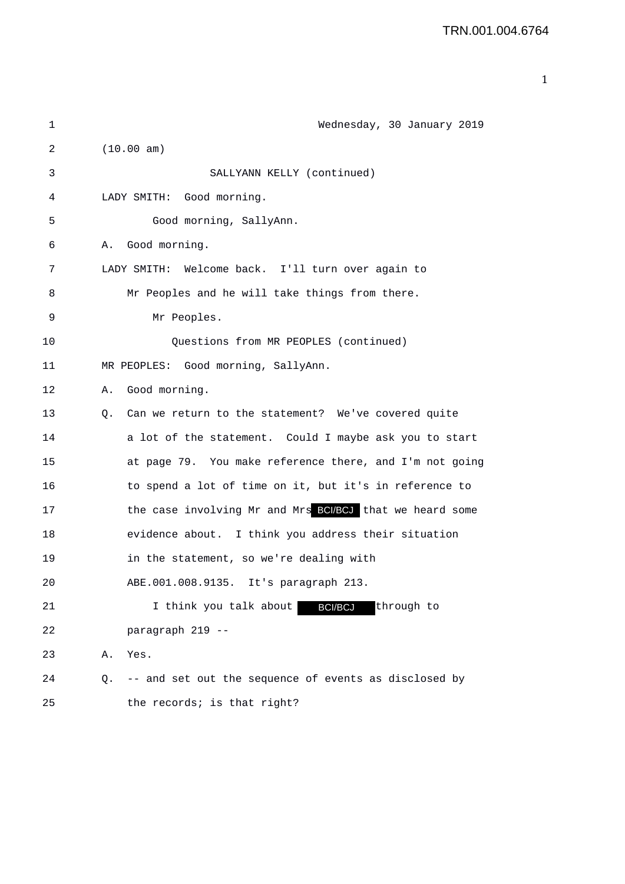| $\mathbf 1$ | Wednesday, 30 January 2019                                  |
|-------------|-------------------------------------------------------------|
| 2           | (10.00 am)                                                  |
| 3           | SALLYANN KELLY (continued)                                  |
| 4           | Good morning.<br>LADY SMITH:                                |
| 5           | Good morning, SallyAnn.                                     |
| 6           | Good morning.<br>Α.                                         |
| 7           | LADY SMITH: Welcome back. I'll turn over again to           |
| 8           | Mr Peoples and he will take things from there.              |
| 9           | Mr Peoples.                                                 |
| 10          | Questions from MR PEOPLES (continued)                       |
| 11          | MR PEOPLES: Good morning, SallyAnn.                         |
| 12          | Good morning.<br>Α.                                         |
| 13          | Can we return to the statement? We've covered quite<br>0.   |
| 14          | a lot of the statement. Could I maybe ask you to start      |
| 15          | at page 79. You make reference there, and I'm not going     |
| 16          | to spend a lot of time on it, but it's in reference to      |
| 17          | the case involving Mr and Mrs BCI/BCJ that we heard some    |
| 18          | evidence about. I think you address their situation         |
| 19          | in the statement, so we're dealing with                     |
| 20          | ABE.001.008.9135. It's paragraph 213.                       |
| 21          | <b>BCI/BCJ</b><br>I think you talk about<br>through to      |
| 22          | paragraph 219 --                                            |
| 23          | Yes.<br>Α.                                                  |
| 24          | -- and set out the sequence of events as disclosed by<br>Q. |
| 25          | the records; is that right?                                 |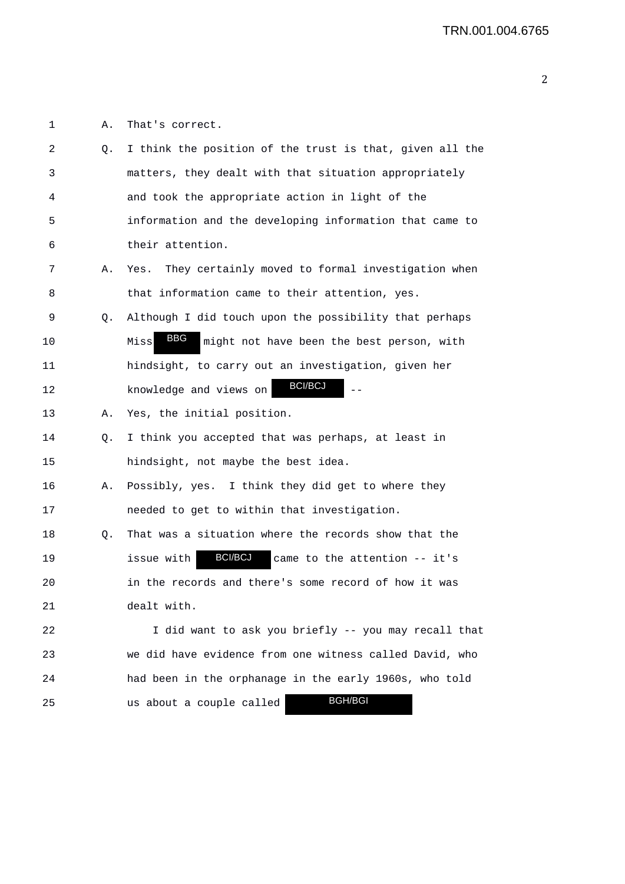1 A. That's correct.

| 2  | Q. | I think the position of the trust is that, given all the      |
|----|----|---------------------------------------------------------------|
| 3  |    | matters, they dealt with that situation appropriately         |
| 4  |    | and took the appropriate action in light of the               |
| 5  |    | information and the developing information that came to       |
| 6  |    | their attention.                                              |
| 7  | Α. | They certainly moved to formal investigation when<br>Yes.     |
| 8  |    | that information came to their attention, yes.                |
| 9  | Q. | Although I did touch upon the possibility that perhaps        |
| 10 |    | BBG<br>Miss<br>might not have been the best person, with      |
| 11 |    | hindsight, to carry out an investigation, given her           |
| 12 |    | <b>BCI/BCJ</b><br>knowledge and views on                      |
| 13 | А. | Yes, the initial position.                                    |
| 14 | Q. | I think you accepted that was perhaps, at least in            |
| 15 |    | hindsight, not maybe the best idea.                           |
| 16 | Α. | Possibly, yes. I think they did get to where they             |
| 17 |    | needed to get to within that investigation.                   |
| 18 | Q. | That was a situation where the records show that the          |
| 19 |    | <b>BCI/BCJ</b><br>issue with<br>came to the attention -- it's |
| 20 |    | in the records and there's some record of how it was          |
| 21 |    | dealt with.                                                   |
| 22 |    | I did want to ask you briefly -- you may recall that          |
| 23 |    | we did have evidence from one witness called David, who       |
| 24 |    | had been in the orphanage in the early 1960s, who told        |
| 25 |    | <b>BGH/BGI</b><br>us about a couple called                    |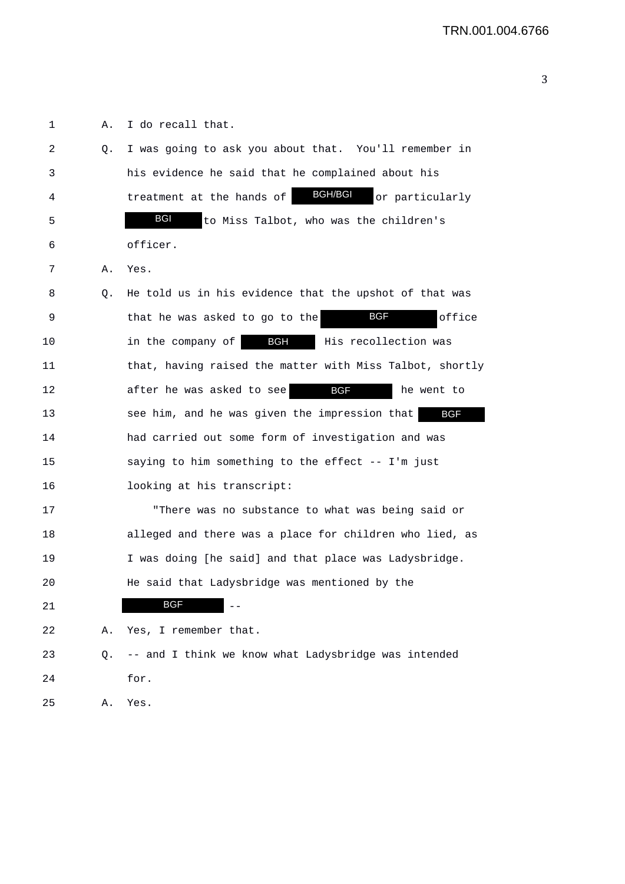1 A. I do recall that. 2 Q. I was going to ask you about that. You'll remember in 3 his evidence he said that he complained about his 4 treatment at the hands of **BGH/BGI** or particularly 5 **BGI** to Miss Talbot, who was the children's 6 officer. 7 A. Yes. 8 Q. He told us in his evidence that the upshot of that was 9 **that he was asked to go to the BGF** office 10 10 10 in the company of **BGH** His recollection was 11 that, having raised the matter with Miss Talbot, shortly 12 after he was asked to see **BGF** he went to 13 see him, and he was given the impression that 14 had carried out some form of investigation and was 15 saying to him something to the effect -- I'm just 16 looking at his transcript: 17 "There was no substance to what was being said or 18 alleged and there was a place for children who lied, as 19 I was doing [he said] and that place was Ladysbridge. 20 He said that Ladysbridge was mentioned by the 21 BGF 21 22 A. Yes, I remember that. 23 Q. -- and I think we know what Ladysbridge was intended 24 for. 25 A. Yes. BGF BGI BGF BGF BGH/BGI BGF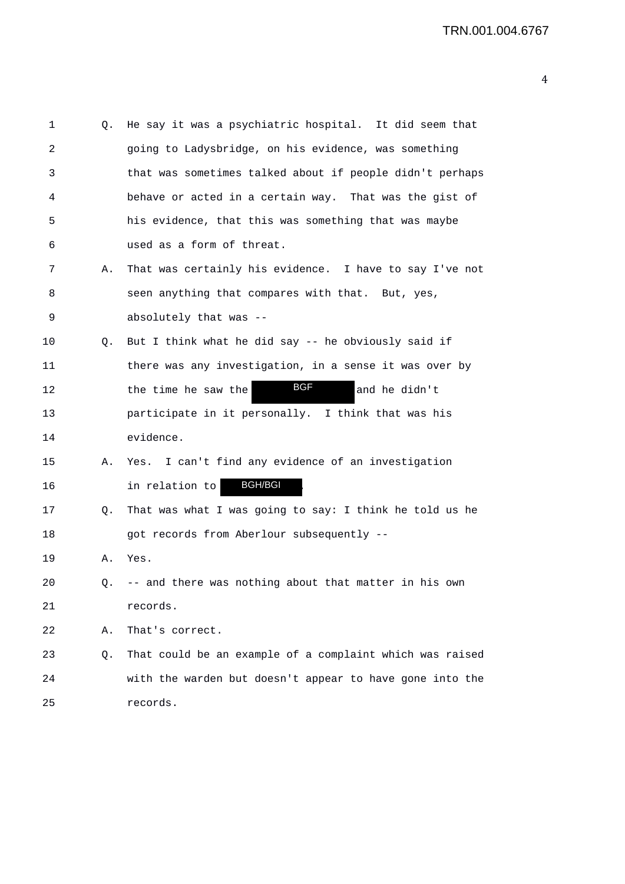| 1  | Q. | He say it was a psychiatric hospital. It did seem that   |
|----|----|----------------------------------------------------------|
| 2  |    | going to Ladysbridge, on his evidence, was something     |
| 3  |    | that was sometimes talked about if people didn't perhaps |
| 4  |    | behave or acted in a certain way. That was the gist of   |
| 5  |    | his evidence, that this was something that was maybe     |
| 6  |    | used as a form of threat.                                |
| 7  | Α. | That was certainly his evidence. I have to say I've not  |
| 8  |    | seen anything that compares with that. But, yes,         |
| 9  |    | absolutely that was --                                   |
| 10 | Q. | But I think what he did say -- he obviously said if      |
| 11 |    | there was any investigation, in a sense it was over by   |
| 12 |    | <b>BGF</b><br>and he didn't<br>the time he saw the       |
| 13 |    | participate in it personally. I think that was his       |
| 14 |    | evidence.                                                |
| 15 | Α. | Yes. I can't find any evidence of an investigation       |
| 16 |    | <b>BGH/BGI</b><br>in relation to                         |
| 17 | Q. | That was what I was going to say: I think he told us he  |
| 18 |    | got records from Aberlour subsequently --                |
| 19 | Α. | Yes.                                                     |
| 20 | Q. | -- and there was nothing about that matter in his own    |
| 21 |    | records.                                                 |
| 22 | Α. | That's correct.                                          |
| 23 | Q. | That could be an example of a complaint which was raised |
| 24 |    | with the warden but doesn't appear to have gone into the |
| 25 |    | records.                                                 |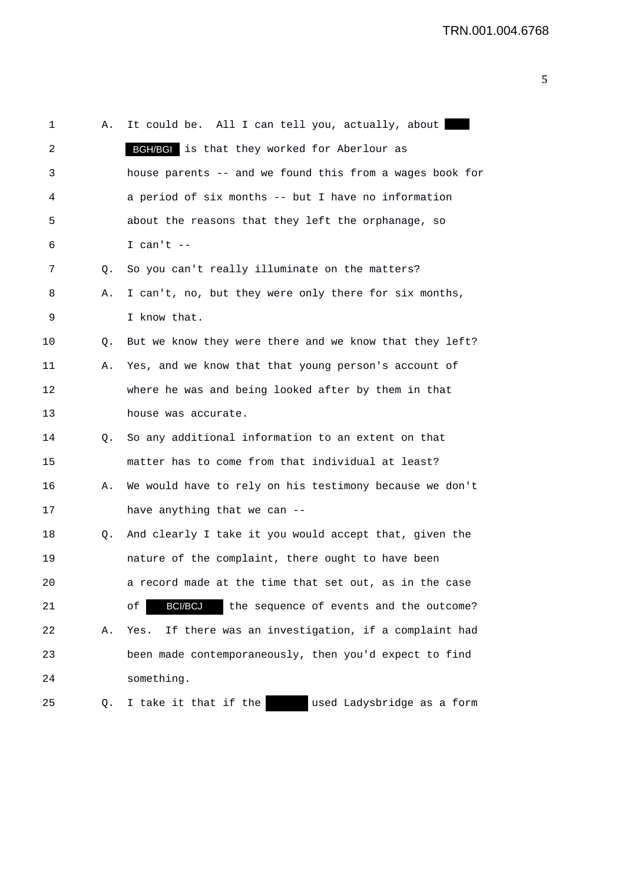| 1  | Α. | It could be. All I can tell you, actually, about                |
|----|----|-----------------------------------------------------------------|
| 2  |    | BGH/BGI is that they worked for Aberlour as                     |
| 3  |    | house parents -- and we found this from a wages book for        |
| 4  |    | a period of six months -- but I have no information             |
| 5  |    | about the reasons that they left the orphanage, so              |
| 6  |    | I can't $-$                                                     |
| 7  | Q. | So you can't really illuminate on the matters?                  |
| 8  | Α. | I can't, no, but they were only there for six months,           |
| 9  |    | I know that.                                                    |
| 10 | Q. | But we know they were there and we know that they left?         |
| 11 | Α. | Yes, and we know that that young person's account of            |
| 12 |    | where he was and being looked after by them in that             |
| 13 |    | house was accurate.                                             |
| 14 | Q. | So any additional information to an extent on that              |
| 15 |    | matter has to come from that individual at least?               |
| 16 | Α. | We would have to rely on his testimony because we don't         |
| 17 |    | have anything that we can --                                    |
| 18 | Q. | And clearly I take it you would accept that, given the          |
| 19 |    | nature of the complaint, there ought to have been               |
| 20 |    | a record made at the time that set out, as in the case          |
| 21 |    | <b>BCI/BCJ</b><br>the sequence of events and the outcome?<br>оf |
| 22 | Α. | If there was an investigation, if a complaint had<br>Yes.       |
| 23 |    | been made contemporaneously, then you'd expect to find          |
| 24 |    | something.                                                      |
| 25 | Q. | used Ladysbridge as a form<br>I take it that if the             |
|    |    |                                                                 |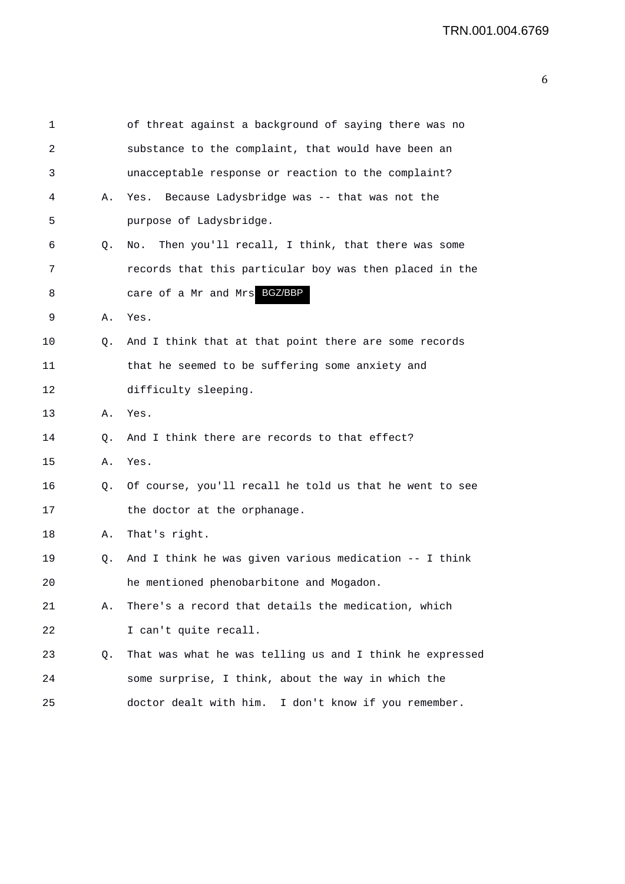| 1  |    | of threat against a background of saying there was no    |
|----|----|----------------------------------------------------------|
| 2  |    | substance to the complaint, that would have been an      |
| 3  |    | unacceptable response or reaction to the complaint?      |
| 4  | Α. | Because Ladysbridge was -- that was not the<br>Yes.      |
| 5  |    | purpose of Ladysbridge.                                  |
| 6  | Q. | Then you'll recall, I think, that there was some<br>No.  |
| 7  |    | records that this particular boy was then placed in the  |
| 8  |    | care of a Mr and Mrs BGZ/BBP                             |
| 9  | Α. | Yes.                                                     |
| 10 | Q. | And I think that at that point there are some records    |
| 11 |    | that he seemed to be suffering some anxiety and          |
| 12 |    | difficulty sleeping.                                     |
| 13 | Α. | Yes.                                                     |
| 14 | Q. | And I think there are records to that effect?            |
| 15 | Α. | Yes.                                                     |
| 16 | Q. | Of course, you'll recall he told us that he went to see  |
| 17 |    | the doctor at the orphanage.                             |
| 18 | Α. | That's right.                                            |
| 19 | Q. | And I think he was given various medication -- I think   |
| 20 |    | he mentioned phenobarbitone and Mogadon.                 |
| 21 | Α. | There's a record that details the medication, which      |
| 22 |    | I can't quite recall.                                    |
| 23 | Q. | That was what he was telling us and I think he expressed |
| 24 |    | some surprise, I think, about the way in which the       |
| 25 |    | doctor dealt with him. I don't know if you remember.     |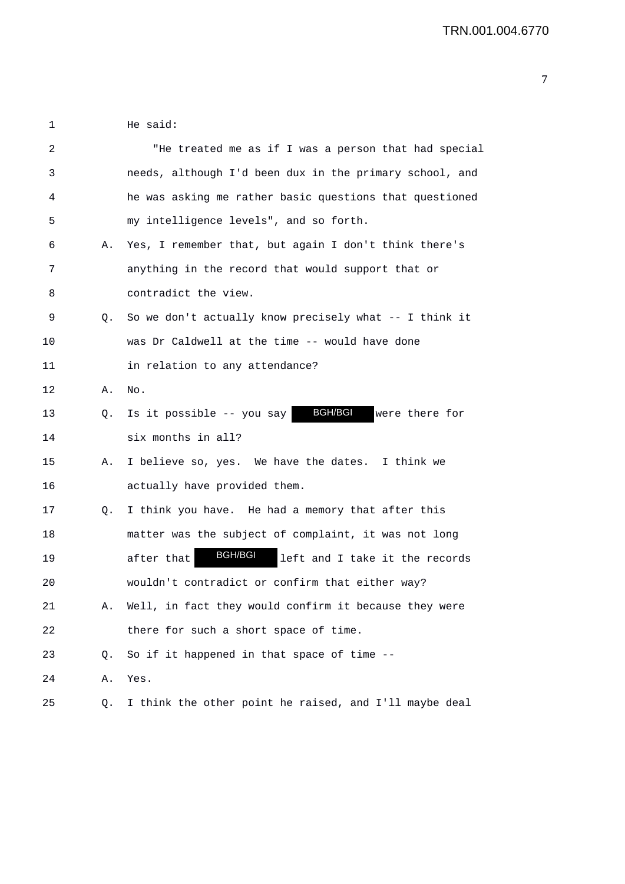1 He said:

| 2  |    | "He treated me as if I was a person that had special           |
|----|----|----------------------------------------------------------------|
| 3  |    | needs, although I'd been dux in the primary school, and        |
| 4  |    | he was asking me rather basic questions that questioned        |
| 5  |    | my intelligence levels", and so forth.                         |
| 6  | Α. | Yes, I remember that, but again I don't think there's          |
| 7  |    | anything in the record that would support that or              |
| 8  |    | contradict the view.                                           |
| 9  | Q. | So we don't actually know precisely what -- I think it         |
| 10 |    | was Dr Caldwell at the time -- would have done                 |
| 11 |    | in relation to any attendance?                                 |
| 12 | Α. | No.                                                            |
| 13 | Q. | <b>BGH/BGI</b><br>Is it possible -- you say<br>were there for  |
| 14 |    | six months in all?                                             |
| 15 | Α. | I believe so, yes. We have the dates. I think we               |
| 16 |    | actually have provided them.                                   |
| 17 | Q. | I think you have. He had a memory that after this              |
| 18 |    | matter was the subject of complaint, it was not long           |
| 19 |    | <b>BGH/BGI</b><br>left and I take it the records<br>after that |
| 20 |    | wouldn't contradict or confirm that either way?                |
| 21 | Α. | Well, in fact they would confirm it because they were          |
| 22 |    | there for such a short space of time.                          |
| 23 | Q. | So if it happened in that space of time --                     |
| 24 | Α. | Yes.                                                           |
| 25 | Q. | I think the other point he raised, and I'll maybe deal         |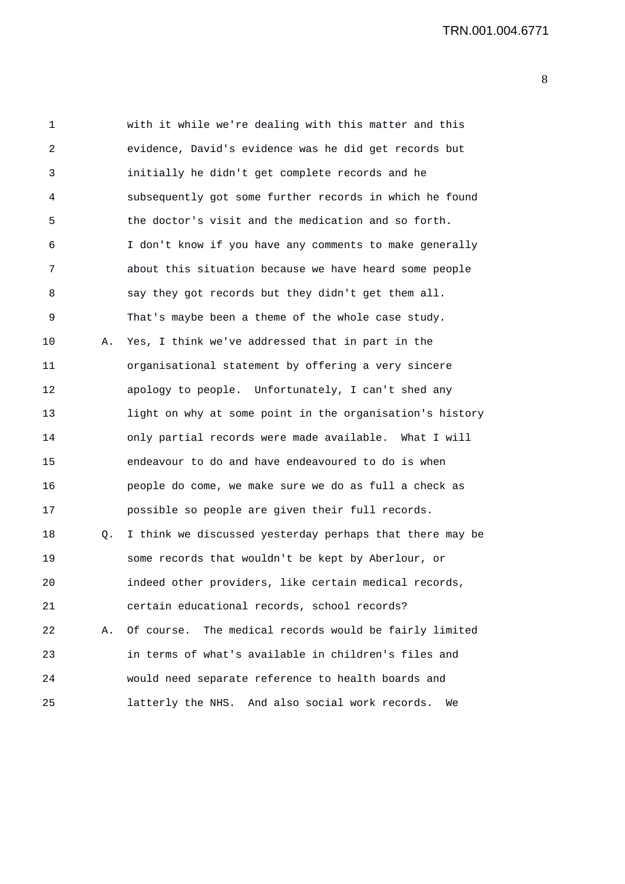| 1  |    | with it while we're dealing with this matter and this    |
|----|----|----------------------------------------------------------|
| 2  |    | evidence, David's evidence was he did get records but    |
| 3  |    | initially he didn't get complete records and he          |
| 4  |    | subsequently got some further records in which he found  |
| 5  |    | the doctor's visit and the medication and so forth.      |
| 6  |    | I don't know if you have any comments to make generally  |
| 7  |    | about this situation because we have heard some people   |
| 8  |    | say they got records but they didn't get them all.       |
| 9  |    | That's maybe been a theme of the whole case study.       |
| 10 | Α. | Yes, I think we've addressed that in part in the         |
| 11 |    | organisational statement by offering a very sincere      |
| 12 |    | apology to people. Unfortunately, I can't shed any       |
| 13 |    | light on why at some point in the organisation's history |
| 14 |    | only partial records were made available. What I will    |
| 15 |    | endeavour to do and have endeavoured to do is when       |
| 16 |    | people do come, we make sure we do as full a check as    |
| 17 |    | possible so people are given their full records.         |
| 18 | Q. | I think we discussed yesterday perhaps that there may be |
| 19 |    | some records that wouldn't be kept by Aberlour, or       |
| 20 |    | indeed other providers, like certain medical records,    |
| 21 |    | certain educational records, school records?             |
| 22 | Α. | Of course. The medical records would be fairly limited   |
| 23 |    | in terms of what's available in children's files and     |
| 24 |    | would need separate reference to health boards and       |
| 25 |    | latterly the NHS. And also social work records.<br>We    |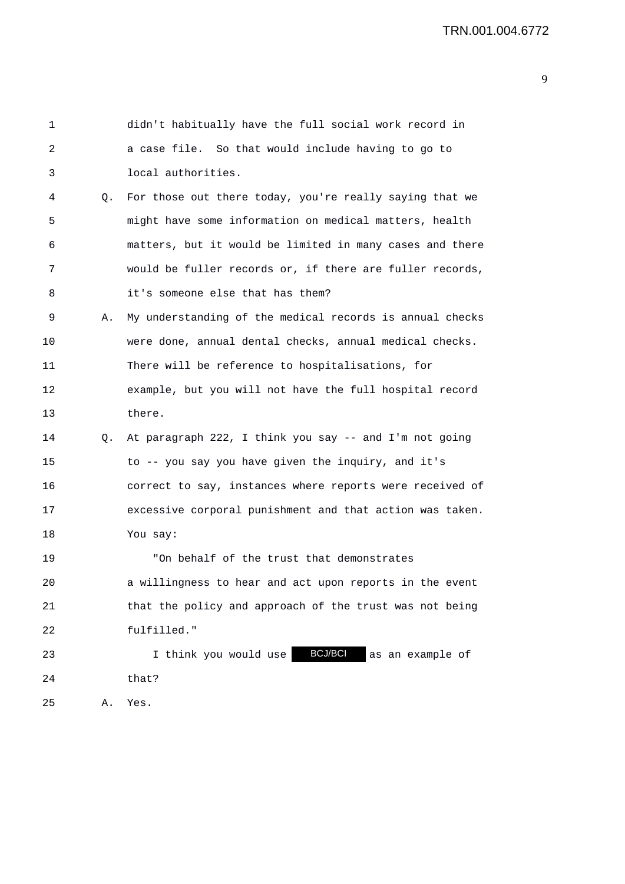| 1  |    | didn't habitually have the full social work record in       |
|----|----|-------------------------------------------------------------|
| 2  |    | a case file. So that would include having to go to          |
| 3  |    | local authorities.                                          |
| 4  | Q. | For those out there today, you're really saying that we     |
| 5  |    | might have some information on medical matters, health      |
| 6  |    | matters, but it would be limited in many cases and there    |
| 7  |    | would be fuller records or, if there are fuller records,    |
| 8  |    | it's someone else that has them?                            |
| 9  | Α. | My understanding of the medical records is annual checks    |
| 10 |    | were done, annual dental checks, annual medical checks.     |
| 11 |    | There will be reference to hospitalisations, for            |
| 12 |    | example, but you will not have the full hospital record     |
| 13 |    | there.                                                      |
| 14 | Q. | At paragraph 222, I think you say -- and I'm not going      |
| 15 |    | to -- you say you have given the inquiry, and it's          |
| 16 |    | correct to say, instances where reports were received of    |
| 17 |    | excessive corporal punishment and that action was taken.    |
| 18 |    | You say:                                                    |
| 19 |    | "On behalf of the trust that demonstrates                   |
| 20 |    | a willingness to hear and act upon reports in the event     |
| 21 |    | that the policy and approach of the trust was not being     |
| 22 |    | fulfilled."                                                 |
| 23 |    | <b>BCJ/BCI</b><br>I think you would use<br>as an example of |
| 24 |    | that?                                                       |
| 25 | Α. | Yes.                                                        |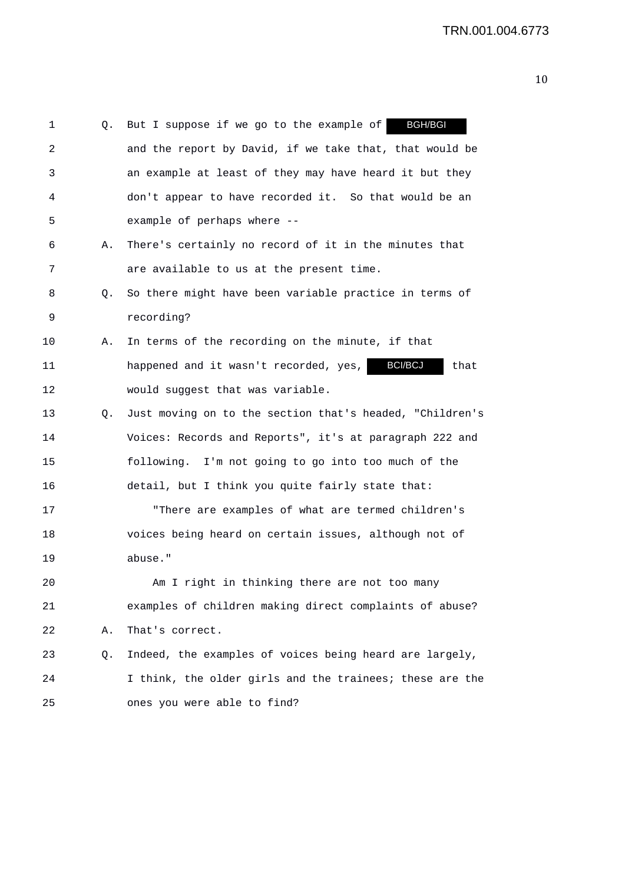| 1  | Q. | <b>BGH/BGI</b><br>But I suppose if we go to the example of |
|----|----|------------------------------------------------------------|
| 2  |    | and the report by David, if we take that, that would be    |
| 3  |    | an example at least of they may have heard it but they     |
| 4  |    | don't appear to have recorded it. So that would be an      |
| 5  |    | example of perhaps where --                                |
| 6  | Α. | There's certainly no record of it in the minutes that      |
| 7  |    | are available to us at the present time.                   |
| 8  | Q. | So there might have been variable practice in terms of     |
| 9  |    | recording?                                                 |
| 10 | Α. | In terms of the recording on the minute, if that           |
| 11 |    | BCI/BCJ<br>happened and it wasn't recorded, yes,<br>that   |
| 12 |    | would suggest that was variable.                           |
| 13 | Q. | Just moving on to the section that's headed, "Children's   |
| 14 |    | Voices: Records and Reports", it's at paragraph 222 and    |
| 15 |    | following. I'm not going to go into too much of the        |
| 16 |    | detail, but I think you quite fairly state that:           |
| 17 |    | "There are examples of what are termed children's          |
| 18 |    | voices being heard on certain issues, although not of      |
| 19 |    | abuse."                                                    |
| 20 |    | Am I right in thinking there are not too many              |
| 21 |    | examples of children making direct complaints of abuse?    |
| 22 | Α. | That's correct.                                            |
| 23 | Q. | Indeed, the examples of voices being heard are largely,    |
| 24 |    | I think, the older girls and the trainees; these are the   |
| 25 |    | ones you were able to find?                                |
|    |    |                                                            |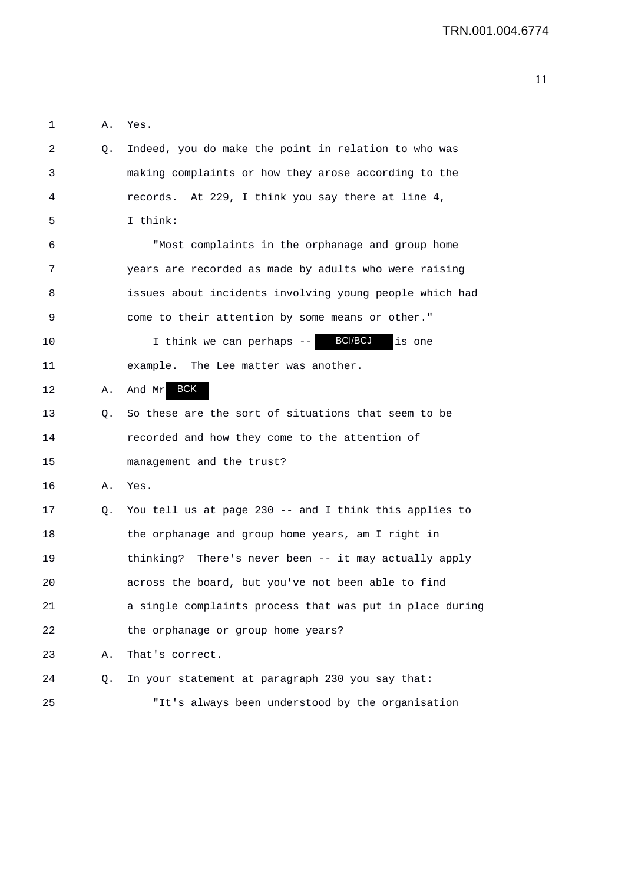1 A. Yes.

| 2  | Q. | Indeed, you do make the point in relation to who was     |
|----|----|----------------------------------------------------------|
| 3  |    | making complaints or how they arose according to the     |
| 4  |    | records. At 229, I think you say there at line 4,        |
| 5  |    | I think:                                                 |
| 6  |    | "Most complaints in the orphanage and group home         |
| 7  |    | years are recorded as made by adults who were raising    |
| 8  |    | issues about incidents involving young people which had  |
| 9  |    | come to their attention by some means or other."         |
| 10 |    | I think we can perhaps -- BCI/BCJ<br>is one              |
| 11 |    | example. The Lee matter was another.                     |
| 12 | Α. | And Mr BCK                                               |
| 13 | Q. | So these are the sort of situations that seem to be      |
| 14 |    | recorded and how they come to the attention of           |
| 15 |    | management and the trust?                                |
| 16 | Α. | Yes.                                                     |
| 17 | Q. | You tell us at page 230 -- and I think this applies to   |
| 18 |    | the orphanage and group home years, am I right in        |
| 19 |    | thinking? There's never been -- it may actually apply    |
| 20 |    | across the board, but you've not been able to find       |
| 21 |    | a single complaints process that was put in place during |
| 22 |    | the orphanage or group home years?                       |
| 23 | Α. | That's correct.                                          |
| 24 | Q. | In your statement at paragraph 230 you say that:         |
| 25 |    | "It's always been understood by the organisation         |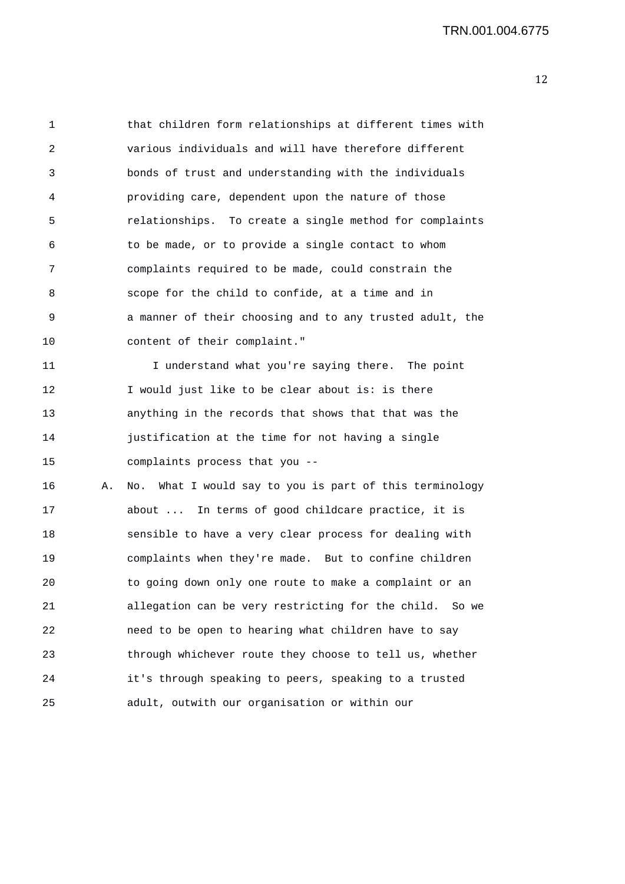1 that children form relationships at different times with 2 various individuals and will have therefore different 3 bonds of trust and understanding with the individuals 4 providing care, dependent upon the nature of those 5 relationships. To create a single method for complaints 6 to be made, or to provide a single contact to whom 7 complaints required to be made, could constrain the 8 scope for the child to confide, at a time and in 9 a manner of their choosing and to any trusted adult, the 10 content of their complaint."

11 I understand what you're saying there. The point 12 I would just like to be clear about is: is there 13 anything in the records that shows that that was the 14 justification at the time for not having a single 15 complaints process that you --

16 A. No. What I would say to you is part of this terminology 17 about ... In terms of good childcare practice, it is 18 sensible to have a very clear process for dealing with 19 complaints when they're made. But to confine children 20 to going down only one route to make a complaint or an 21 allegation can be very restricting for the child. So we 22 need to be open to hearing what children have to say 23 through whichever route they choose to tell us, whether 24 it's through speaking to peers, speaking to a trusted 25 adult, outwith our organisation or within our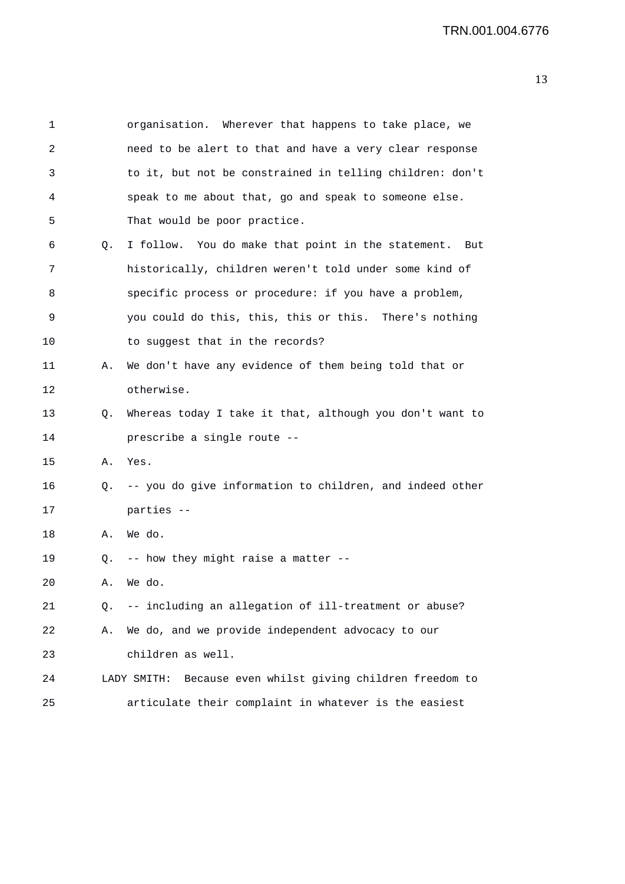| 1  |    | organisation. Wherever that happens to take place, we      |
|----|----|------------------------------------------------------------|
| 2  |    | need to be alert to that and have a very clear response    |
| 3  |    | to it, but not be constrained in telling children: don't   |
| 4  |    | speak to me about that, go and speak to someone else.      |
| 5  |    | That would be poor practice.                               |
| 6  | Q. | I follow. You do make that point in the statement. But     |
| 7  |    | historically, children weren't told under some kind of     |
| 8  |    | specific process or procedure: if you have a problem,      |
| 9  |    | you could do this, this, this or this. There's nothing     |
| 10 |    | to suggest that in the records?                            |
| 11 | Α. | We don't have any evidence of them being told that or      |
| 12 |    | otherwise.                                                 |
| 13 | Q. | Whereas today I take it that, although you don't want to   |
| 14 |    | prescribe a single route --                                |
| 15 | Α. | Yes.                                                       |
| 16 | Q. | -- you do give information to children, and indeed other   |
| 17 |    | parties --                                                 |
| 18 | Α. | We do.                                                     |
| 19 | Q. | -- how they might raise a matter --                        |
| 20 | А. | We do.                                                     |
| 21 | Q. | -- including an allegation of ill-treatment or abuse?      |
| 22 | Α. | We do, and we provide independent advocacy to our          |
| 23 |    | children as well.                                          |
| 24 |    | LADY SMITH: Because even whilst giving children freedom to |
| 25 |    | articulate their complaint in whatever is the easiest      |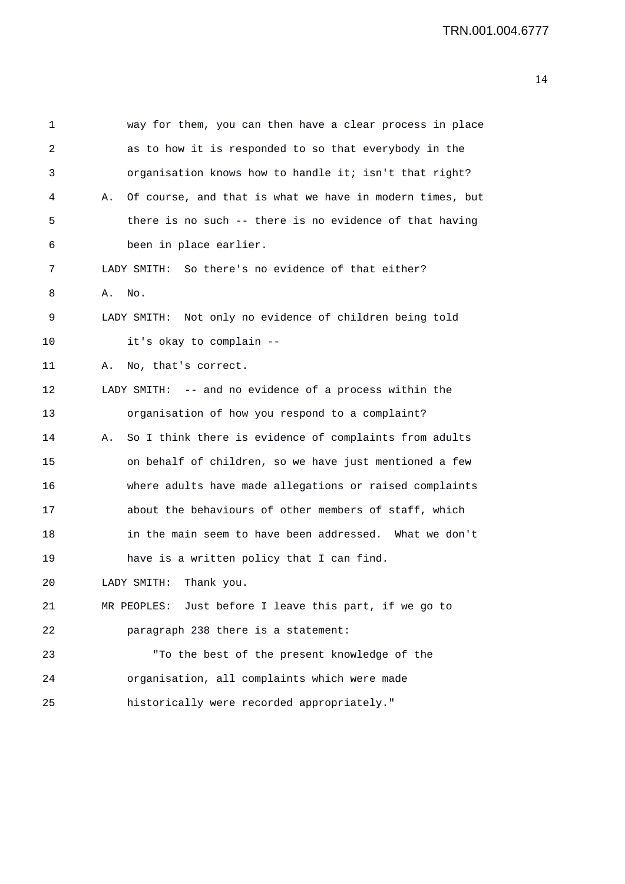| 1  |    | way for them, you can then have a clear process in place |
|----|----|----------------------------------------------------------|
| 2  |    | as to how it is responded to so that everybody in the    |
| 3  |    | organisation knows how to handle it; isn't that right?   |
| 4  | Α. | Of course, and that is what we have in modern times, but |
| 5  |    | there is no such -- there is no evidence of that having  |
| 6  |    | been in place earlier.                                   |
| 7  |    | LADY SMITH: So there's no evidence of that either?       |
| 8  | Α. | No.                                                      |
| 9  |    | LADY SMITH: Not only no evidence of children being told  |
| 10 |    | it's okay to complain --                                 |
| 11 | Α. | No, that's correct.                                      |
| 12 |    | LADY SMITH: -- and no evidence of a process within the   |
| 13 |    | organisation of how you respond to a complaint?          |
| 14 | Α. | So I think there is evidence of complaints from adults   |
| 15 |    | on behalf of children, so we have just mentioned a few   |
| 16 |    | where adults have made allegations or raised complaints  |
| 17 |    | about the behaviours of other members of staff, which    |
| 18 |    | in the main seem to have been addressed. What we don't   |
| 19 |    | have is a written policy that I can find.                |
| 20 |    | LADY SMITH:<br>Thank you.                                |
| 21 |    | MR PEOPLES: Just before I leave this part, if we go to   |
| 22 |    | paragraph 238 there is a statement:                      |
| 23 |    | "To the best of the present knowledge of the             |
| 24 |    | organisation, all complaints which were made             |
| 25 |    | historically were recorded appropriately."               |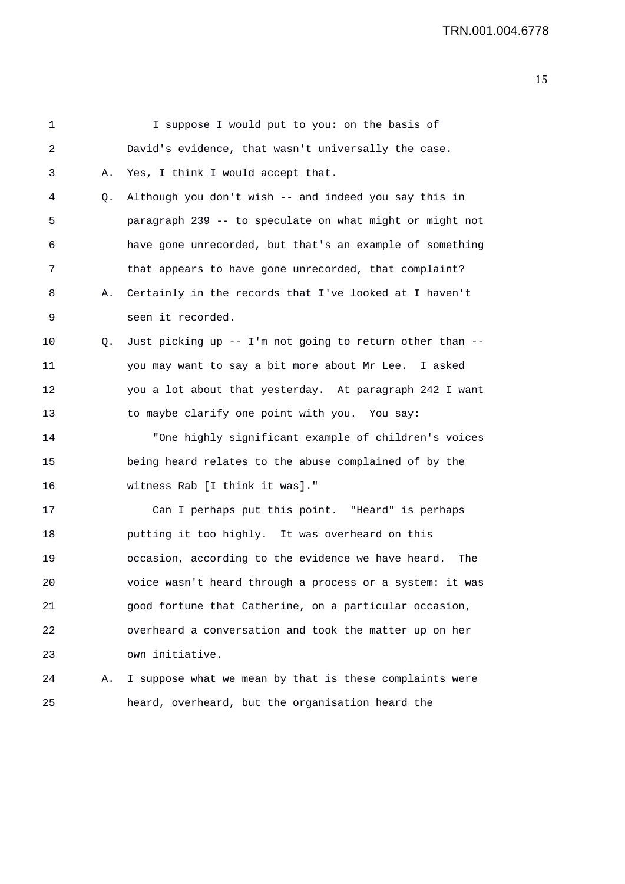| 1  |    | I suppose I would put to you: on the basis of             |
|----|----|-----------------------------------------------------------|
| 2  |    | David's evidence, that wasn't universally the case.       |
| 3  | Α. | Yes, I think I would accept that.                         |
| 4  | Q. | Although you don't wish -- and indeed you say this in     |
| 5  |    | paragraph 239 -- to speculate on what might or might not  |
| 6  |    | have gone unrecorded, but that's an example of something  |
| 7  |    | that appears to have gone unrecorded, that complaint?     |
| 8  | Α. | Certainly in the records that I've looked at I haven't    |
| 9  |    | seen it recorded.                                         |
| 10 | Q. | Just picking up -- I'm not going to return other than --  |
| 11 |    | you may want to say a bit more about Mr Lee. I asked      |
| 12 |    | you a lot about that yesterday. At paragraph 242 I want   |
| 13 |    | to maybe clarify one point with you. You say:             |
| 14 |    | "One highly significant example of children's voices      |
| 15 |    | being heard relates to the abuse complained of by the     |
| 16 |    | witness Rab [I think it was]."                            |
| 17 |    | Can I perhaps put this point. "Heard" is perhaps          |
| 18 |    | putting it too highly. It was overheard on this           |
| 19 |    | occasion, according to the evidence we have heard.<br>The |
| 20 |    | voice wasn't heard through a process or a system: it was  |
| 21 |    | good fortune that Catherine, on a particular occasion,    |
| 22 |    | overheard a conversation and took the matter up on her    |
| 23 |    | own initiative.                                           |
| 24 | Α. | I suppose what we mean by that is these complaints were   |
| 25 |    | heard, overheard, but the organisation heard the          |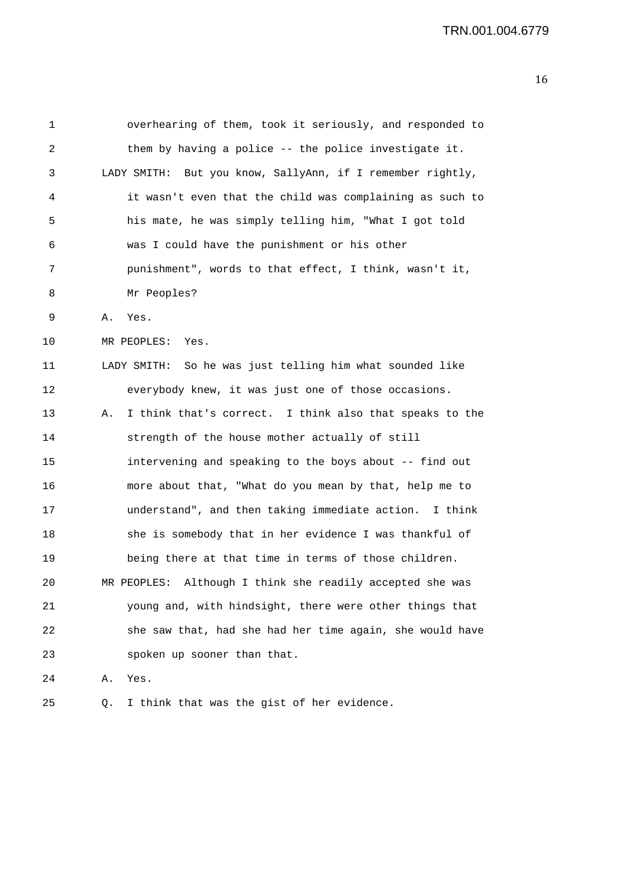1 overhearing of them, took it seriously, and responded to 2 them by having a police -- the police investigate it. 3 LADY SMITH: But you know, SallyAnn, if I remember rightly, 4 it wasn't even that the child was complaining as such to 5 his mate, he was simply telling him, "What I got told 6 was I could have the punishment or his other 7 punishment", words to that effect, I think, wasn't it, 8 Mr Peoples? 9 A. Yes. 10 MR PEOPLES: Yes. 11 LADY SMITH: So he was just telling him what sounded like 12 everybody knew, it was just one of those occasions. 13 A. I think that's correct. I think also that speaks to the 14 strength of the house mother actually of still 15 intervening and speaking to the boys about -- find out 16 more about that, "What do you mean by that, help me to 17 understand", and then taking immediate action. I think 18 she is somebody that in her evidence I was thankful of 19 being there at that time in terms of those children. 20 MR PEOPLES: Although I think she readily accepted she was 21 young and, with hindsight, there were other things that 22 she saw that, had she had her time again, she would have 23 spoken up sooner than that. 24 A. Yes.

25 Q. I think that was the gist of her evidence.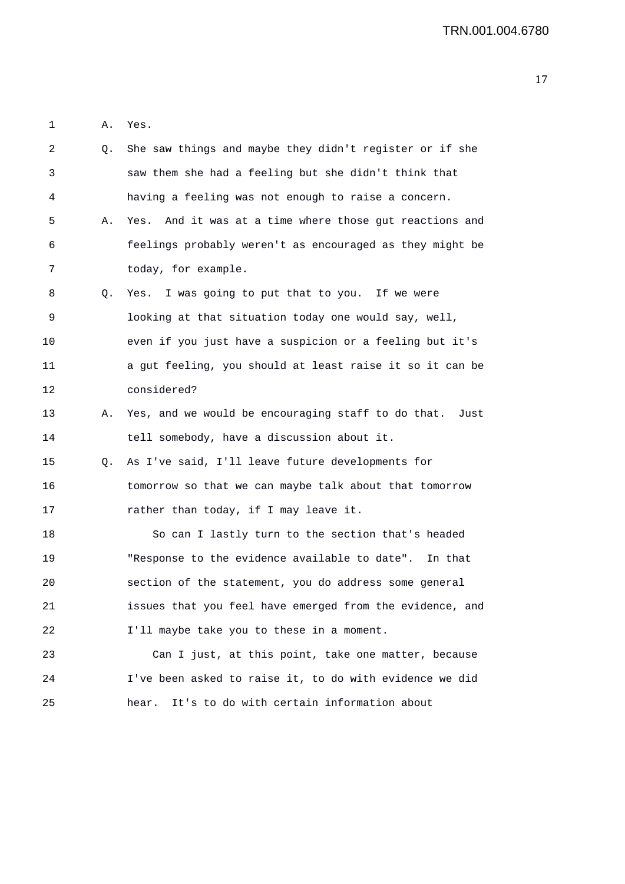1 A. Yes.

| 2  | Q. | She saw things and maybe they didn't register or if she    |
|----|----|------------------------------------------------------------|
| 3  |    | saw them she had a feeling but she didn't think that       |
| 4  |    | having a feeling was not enough to raise a concern.        |
| 5  | Α. | And it was at a time where those gut reactions and<br>Yes. |
| 6  |    | feelings probably weren't as encouraged as they might be   |
| 7  |    | today, for example.                                        |
| 8  | Q. | Yes. I was going to put that to you. If we were            |
| 9  |    | looking at that situation today one would say, well,       |
| 10 |    | even if you just have a suspicion or a feeling but it's    |
| 11 |    | a gut feeling, you should at least raise it so it can be   |
| 12 |    | considered?                                                |
| 13 | Α. | Yes, and we would be encouraging staff to do that.<br>Just |
| 14 |    | tell somebody, have a discussion about it.                 |
| 15 | Q. | As I've said, I'll leave future developments for           |
| 16 |    | tomorrow so that we can maybe talk about that tomorrow     |
| 17 |    | rather than today, if I may leave it.                      |
| 18 |    | So can I lastly turn to the section that's headed          |
| 19 |    | "Response to the evidence available to date". In that      |
| 20 |    | section of the statement, you do address some general      |
| 21 |    | issues that you feel have emerged from the evidence, and   |
| 22 |    | I'll maybe take you to these in a moment.                  |
| 23 |    | Can I just, at this point, take one matter, because        |
| 24 |    | I've been asked to raise it, to do with evidence we did    |
| 25 |    | It's to do with certain information about<br>hear.         |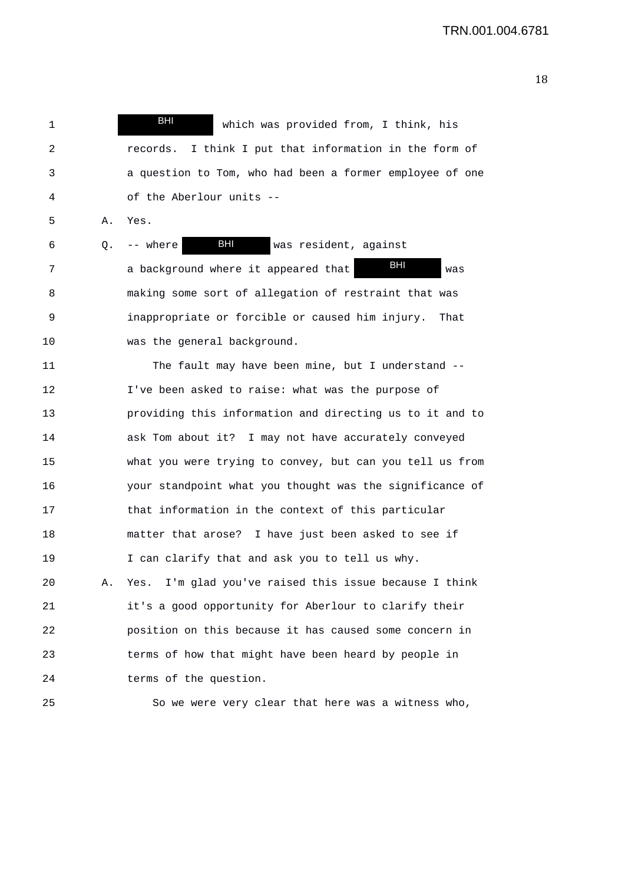1 and 1 which was provided from, I think, his 2 records. I think I put that information in the form of 3 a question to Tom, who had been a former employee of one 4 of the Aberlour units -- BHI

5 A. Yes.

6 Q. -- where BHI was resident, against 7 a background where it appeared that **ELL** was 8 making some sort of allegation of restraint that was 9 inappropriate or forcible or caused him injury. That 10 was the general background. BHI BHI

11 The fault may have been mine, but I understand -- 12 I've been asked to raise: what was the purpose of 13 providing this information and directing us to it and to 14 ask Tom about it? I may not have accurately conveyed 15 what you were trying to convey, but can you tell us from 16 your standpoint what you thought was the significance of 17 that information in the context of this particular 18 matter that arose? I have just been asked to see if 19 I can clarify that and ask you to tell us why.

20 A. Yes. I'm glad you've raised this issue because I think 21 it's a good opportunity for Aberlour to clarify their 22 position on this because it has caused some concern in 23 terms of how that might have been heard by people in 24 terms of the question.

25 So we were very clear that here was a witness who,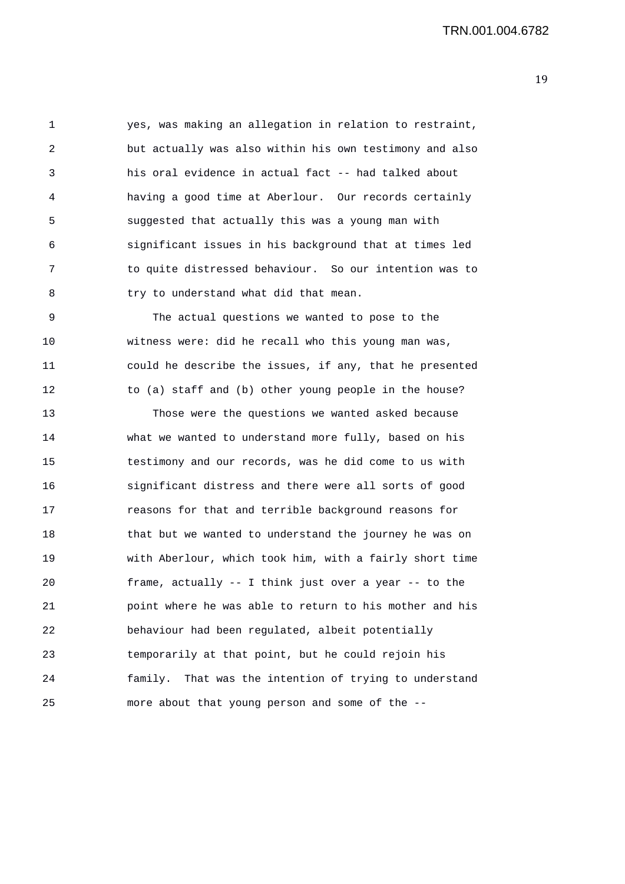1 yes, was making an allegation in relation to restraint, 2 but actually was also within his own testimony and also 3 his oral evidence in actual fact -- had talked about 4 having a good time at Aberlour. Our records certainly 5 suggested that actually this was a young man with 6 significant issues in his background that at times led 7 to quite distressed behaviour. So our intention was to 8 try to understand what did that mean.

9 The actual questions we wanted to pose to the 10 witness were: did he recall who this young man was, 11 could he describe the issues, if any, that he presented 12 to (a) staff and (b) other young people in the house?

13 Those were the questions we wanted asked because 14 what we wanted to understand more fully, based on his 15 testimony and our records, was he did come to us with 16 significant distress and there were all sorts of good 17 reasons for that and terrible background reasons for 18 that but we wanted to understand the journey he was on 19 with Aberlour, which took him, with a fairly short time 20 frame, actually -- I think just over a year -- to the 21 point where he was able to return to his mother and his 22 behaviour had been regulated, albeit potentially 23 temporarily at that point, but he could rejoin his 24 family. That was the intention of trying to understand 25 more about that young person and some of the --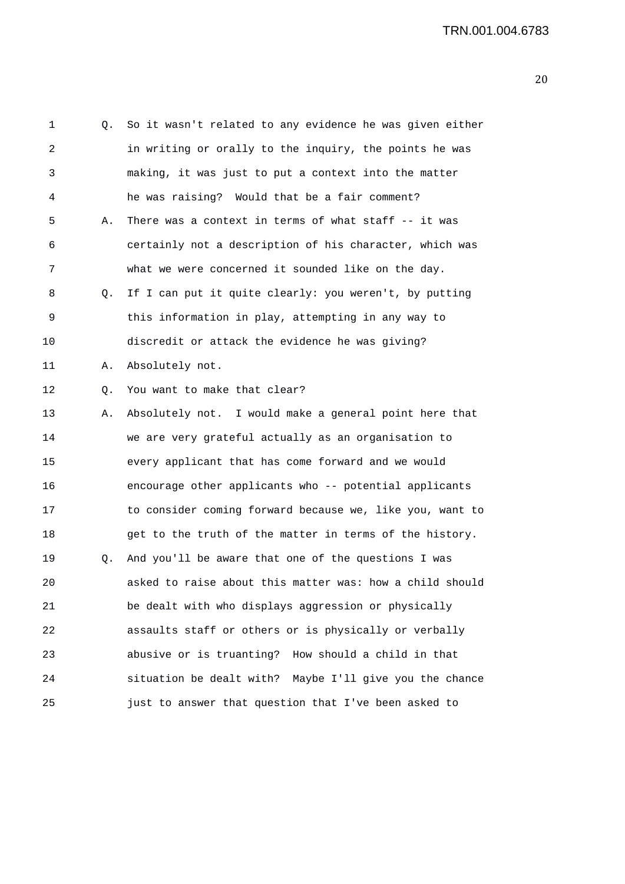1 Q. So it wasn't related to any evidence he was given either 2 in writing or orally to the inquiry, the points he was 3 making, it was just to put a context into the matter 4 he was raising? Would that be a fair comment? 5 A. There was a context in terms of what staff -- it was 6 certainly not a description of his character, which was 7 what we were concerned it sounded like on the day. 8 Q. If I can put it quite clearly: you weren't, by putting 9 this information in play, attempting in any way to 10 discredit or attack the evidence he was giving? 11 A. Absolutely not. 12 Q. You want to make that clear? 13 A. Absolutely not. I would make a general point here that 14 we are very grateful actually as an organisation to 15 every applicant that has come forward and we would 16 encourage other applicants who -- potential applicants 17 to consider coming forward because we, like you, want to 18 get to the truth of the matter in terms of the history. 19 Q. And you'll be aware that one of the questions I was 20 asked to raise about this matter was: how a child should 21 be dealt with who displays aggression or physically 22 assaults staff or others or is physically or verbally 23 abusive or is truanting? How should a child in that 24 situation be dealt with? Maybe I'll give you the chance 25 just to answer that question that I've been asked to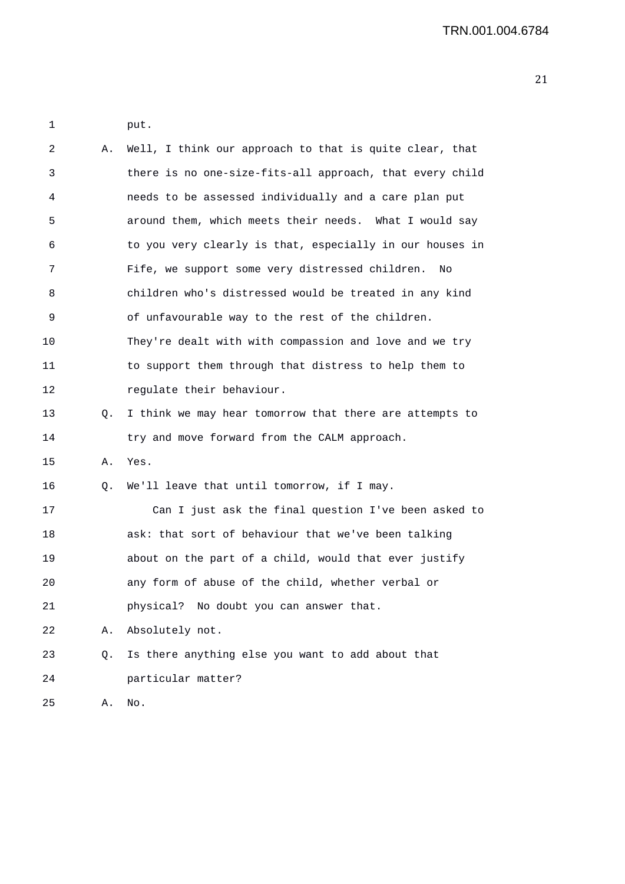| 1  |    | put.                                                     |
|----|----|----------------------------------------------------------|
| 2  | Α. | Well, I think our approach to that is quite clear, that  |
| 3  |    | there is no one-size-fits-all approach, that every child |
| 4  |    | needs to be assessed individually and a care plan put    |
| 5  |    | around them, which meets their needs. What I would say   |
| 6  |    | to you very clearly is that, especially in our houses in |
| 7  |    | Fife, we support some very distressed children.<br>No    |
| 8  |    | children who's distressed would be treated in any kind   |
| 9  |    | of unfavourable way to the rest of the children.         |
| 10 |    | They're dealt with with compassion and love and we try   |
| 11 |    | to support them through that distress to help them to    |
| 12 |    | regulate their behaviour.                                |
| 13 | Q. | I think we may hear tomorrow that there are attempts to  |
| 14 |    | try and move forward from the CALM approach.             |
| 15 | Α. | Yes.                                                     |
| 16 | Q. | We'll leave that until tomorrow, if I may.               |
| 17 |    | Can I just ask the final question I've been asked to     |
| 18 |    | ask: that sort of behaviour that we've been talking      |
| 19 |    | about on the part of a child, would that ever justify    |
| 20 |    | any form of abuse of the child, whether verbal or        |
| 21 |    | physical? No doubt you can answer that.                  |
| 22 | Α. | Absolutely not.                                          |
| 23 | Q. | Is there anything else you want to add about that        |
| 24 |    | particular matter?                                       |
| 25 | Α. | No.                                                      |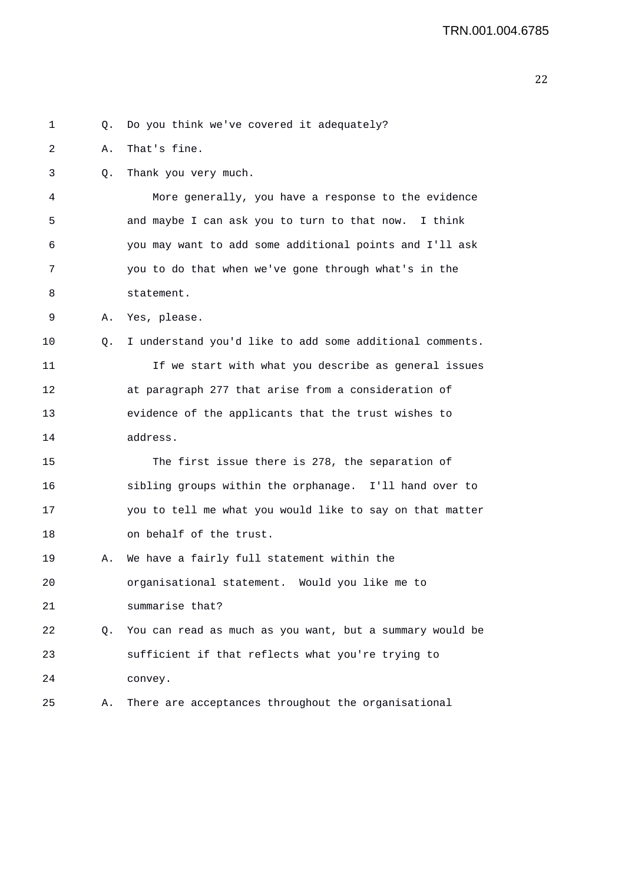1 Q. Do you think we've covered it adequately? 2 A. That's fine. 3 Q. Thank you very much. 4 More generally, you have a response to the evidence 5 and maybe I can ask you to turn to that now. I think 6 you may want to add some additional points and I'll ask 7 you to do that when we've gone through what's in the 8 statement. 9 A. Yes, please. 10 Q. I understand you'd like to add some additional comments. 11 If we start with what you describe as general issues 12 at paragraph 277 that arise from a consideration of 13 evidence of the applicants that the trust wishes to 14 address. 15 The first issue there is 278, the separation of 16 sibling groups within the orphanage. I'll hand over to 17 you to tell me what you would like to say on that matter 18 on behalf of the trust. 19 A. We have a fairly full statement within the 20 organisational statement. Would you like me to 21 summarise that? 22 Q. You can read as much as you want, but a summary would be 23 sufficient if that reflects what you're trying to 24 convey. 25 A. There are acceptances throughout the organisational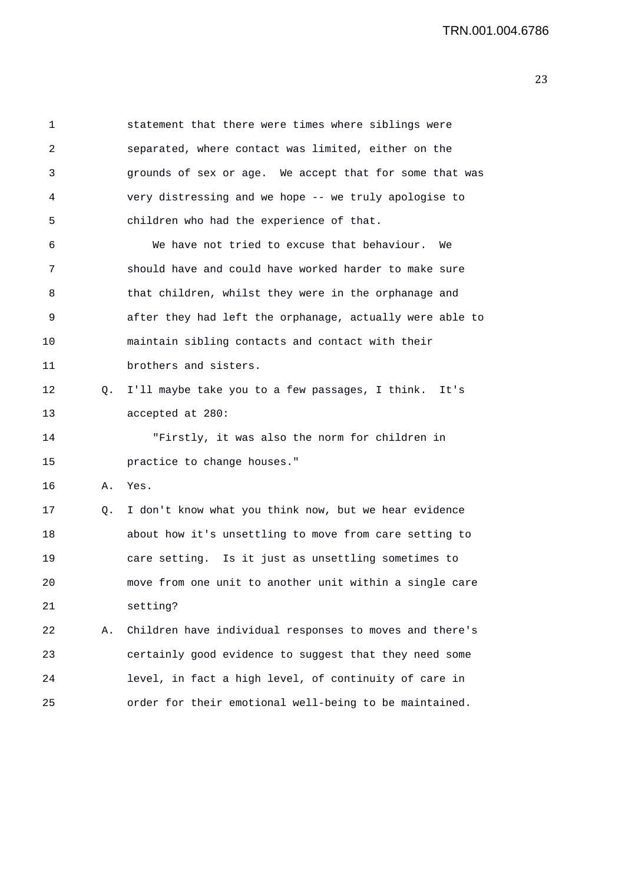1 statement that there were times where siblings were 2 separated, where contact was limited, either on the 3 grounds of sex or age. We accept that for some that was 4 very distressing and we hope -- we truly apologise to 5 children who had the experience of that. 6 We have not tried to excuse that behaviour. We 7 should have and could have worked harder to make sure 8 that children, whilst they were in the orphanage and 9 after they had left the orphanage, actually were able to 10 maintain sibling contacts and contact with their 11 brothers and sisters. 12 Q. I'll maybe take you to a few passages, I think. It's 13 accepted at 280: 14 "Firstly, it was also the norm for children in 15 practice to change houses." 16 A. Yes. 17 Q. I don't know what you think now, but we hear evidence 18 about how it's unsettling to move from care setting to 19 care setting. Is it just as unsettling sometimes to 20 move from one unit to another unit within a single care 21 setting? 22 A. Children have individual responses to moves and there's 23 certainly good evidence to suggest that they need some 24 level, in fact a high level, of continuity of care in 25 order for their emotional well-being to be maintained.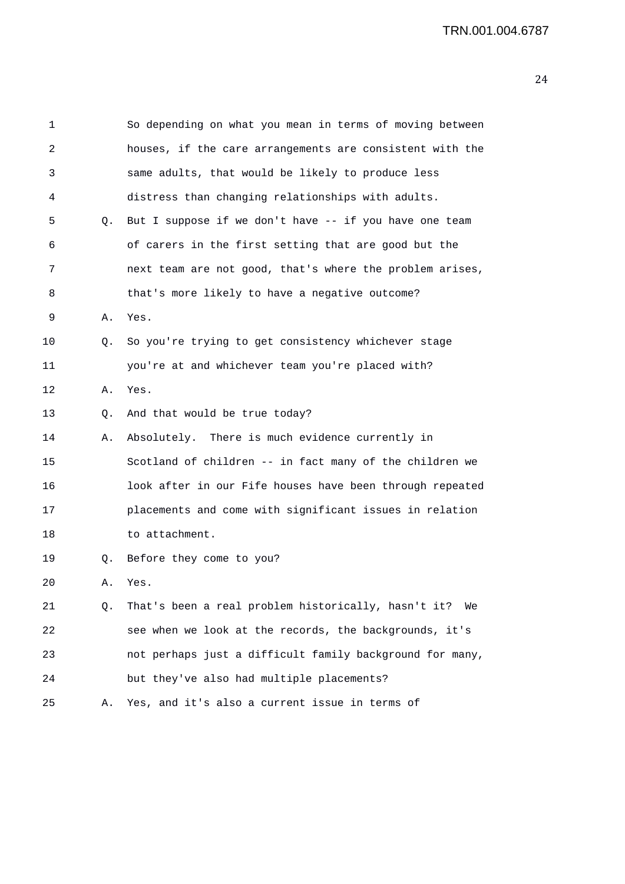| 2  |    | houses, if the care arrangements are consistent with the  |
|----|----|-----------------------------------------------------------|
| 3  |    | same adults, that would be likely to produce less         |
| 4  |    | distress than changing relationships with adults.         |
| 5  | Q. | But I suppose if we don't have -- if you have one team    |
| 6  |    | of carers in the first setting that are good but the      |
| 7  |    | next team are not good, that's where the problem arises,  |
| 8  |    | that's more likely to have a negative outcome?            |
| 9  | Α. | Yes.                                                      |
| 10 | Q. | So you're trying to get consistency whichever stage       |
| 11 |    | you're at and whichever team you're placed with?          |
| 12 | Α. | Yes.                                                      |
| 13 | Q. | And that would be true today?                             |
| 14 | Α. | Absolutely. There is much evidence currently in           |
| 15 |    | Scotland of children -- in fact many of the children we   |
| 16 |    | look after in our Fife houses have been through repeated  |
| 17 |    | placements and come with significant issues in relation   |
| 18 |    | to attachment.                                            |
| 19 | Q. | Before they come to you?                                  |
| 20 | Α. | Yes.                                                      |
| 21 | Q. | That's been a real problem historically, hasn't it?<br>We |
| 22 |    | see when we look at the records, the backgrounds, it's    |
| 23 |    | not perhaps just a difficult family background for many,  |
| 24 |    | but they've also had multiple placements?                 |

 $20$ 

1 So depending on what you mean in terms of moving between

25 A. Yes, and it's also a current issue in terms of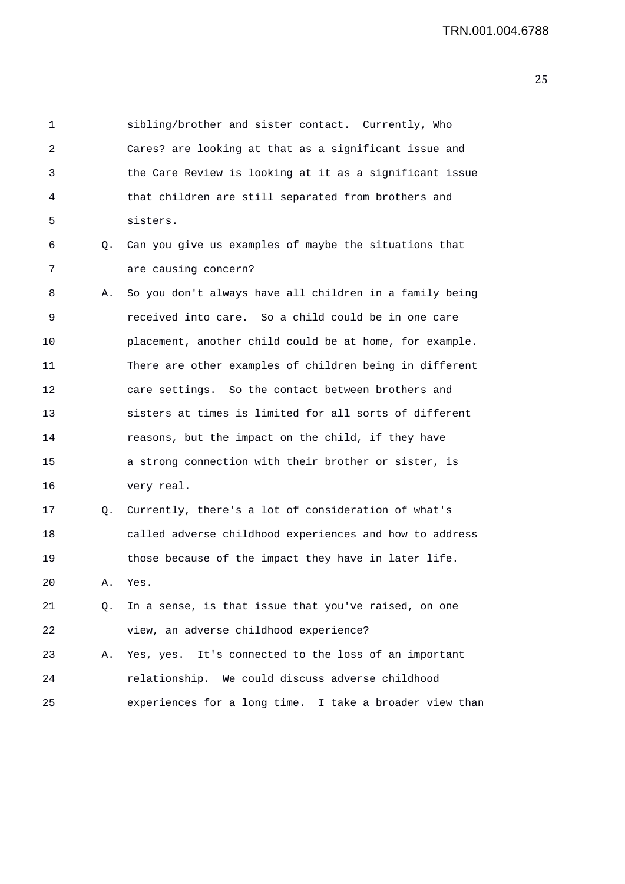1 sibling/brother and sister contact. Currently, Who 2 Cares? are looking at that as a significant issue and 3 the Care Review is looking at it as a significant issue 4 that children are still separated from brothers and 5 sisters. 6 Q. Can you give us examples of maybe the situations that 7 are causing concern? 8 A. So you don't always have all children in a family being 9 received into care. So a child could be in one care 10 placement, another child could be at home, for example. 11 There are other examples of children being in different 12 care settings. So the contact between brothers and 13 sisters at times is limited for all sorts of different 14 reasons, but the impact on the child, if they have 15 a strong connection with their brother or sister, is 16 very real. 17 Q. Currently, there's a lot of consideration of what's 18 called adverse childhood experiences and how to address 19 those because of the impact they have in later life. 20 A. Yes. 21 Q. In a sense, is that issue that you've raised, on one 22 view, an adverse childhood experience? 23 A. Yes, yes. It's connected to the loss of an important 24 relationship. We could discuss adverse childhood 25 experiences for a long time. I take a broader view than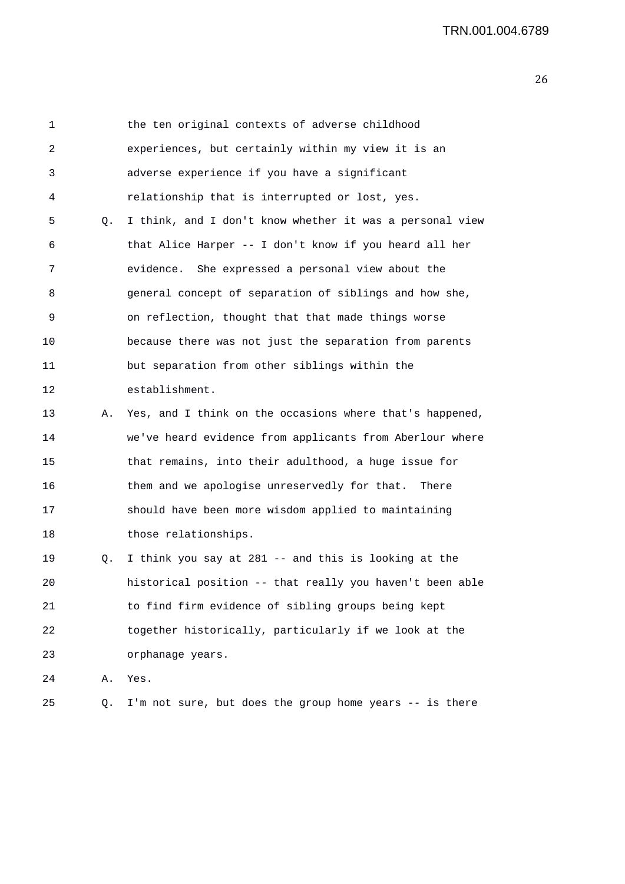| 1  |           | the ten original contexts of adverse childhood           |
|----|-----------|----------------------------------------------------------|
| 2  |           | experiences, but certainly within my view it is an       |
| 3  |           | adverse experience if you have a significant             |
| 4  |           | relationship that is interrupted or lost, yes.           |
| 5  | $\circ$ . | I think, and I don't know whether it was a personal view |
| 6  |           | that Alice Harper -- I don't know if you heard all her   |
| 7  |           | evidence. She expressed a personal view about the        |
| 8  |           | general concept of separation of siblings and how she,   |
| 9  |           | on reflection, thought that that made things worse       |
| 10 |           | because there was not just the separation from parents   |
| 11 |           | but separation from other siblings within the            |
| 12 |           | establishment.                                           |
| 13 | Α.        | Yes, and I think on the occasions where that's happened, |
| 14 |           | we've heard evidence from applicants from Aberlour where |
| 15 |           | that remains, into their adulthood, a huge issue for     |
| 16 |           | them and we apologise unreservedly for that. There       |
| 17 |           | should have been more wisdom applied to maintaining      |
| 18 |           | those relationships.                                     |
| 19 | Q.        | I think you say at 281 -- and this is looking at the     |
| 20 |           | historical position -- that really you haven't been able |
| 21 |           | to find firm evidence of sibling groups being kept       |
| 22 |           | together historically, particularly if we look at the    |
| 23 |           | orphanage years.                                         |
| 24 | Α.        | Yes.                                                     |
| 25 | Q.        | I'm not sure, but does the group home years -- is there  |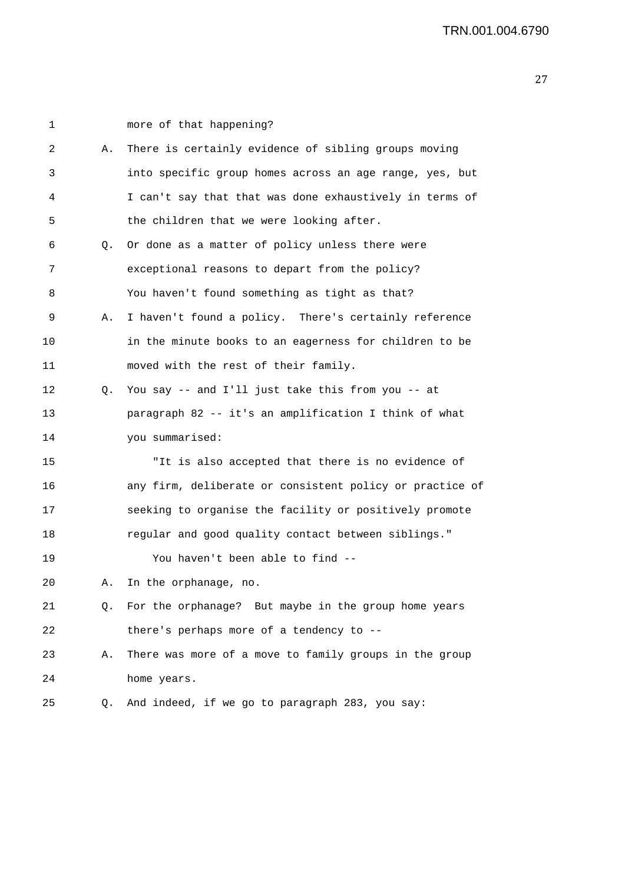| 1       |    | more of that happening?                                  |
|---------|----|----------------------------------------------------------|
| 2       | Α. | There is certainly evidence of sibling groups moving     |
| 3       |    | into specific group homes across an age range, yes, but  |
| 4       |    | I can't say that that was done exhaustively in terms of  |
| 5       |    | the children that we were looking after.                 |
| 6       | Q. | Or done as a matter of policy unless there were          |
| 7       |    | exceptional reasons to depart from the policy?           |
| 8       |    | You haven't found something as tight as that?            |
| 9       | Α. | I haven't found a policy. There's certainly reference    |
| 10      |    | in the minute books to an eagerness for children to be   |
| 11      |    | moved with the rest of their family.                     |
| 12      | Q. | You say -- and I'll just take this from you -- at        |
| 13      |    | paragraph 82 -- it's an amplification I think of what    |
| 14      |    | you summarised:                                          |
| 15      |    | "It is also accepted that there is no evidence of        |
| 16      |    | any firm, deliberate or consistent policy or practice of |
| 17      |    | seeking to organise the facility or positively promote   |
| 18      |    | regular and good quality contact between siblings."      |
| 19      |    | You haven't been able to find --                         |
| $20 \,$ |    | In the orphanage, no.                                    |
| 21      | Q. | For the orphanage? But maybe in the group home years     |
| 22      |    | there's perhaps more of a tendency to --                 |
| 23      | Α. | There was more of a move to family groups in the group   |
| 24      |    | home years.                                              |
| 25      | Q. | And indeed, if we go to paragraph 283, you say:          |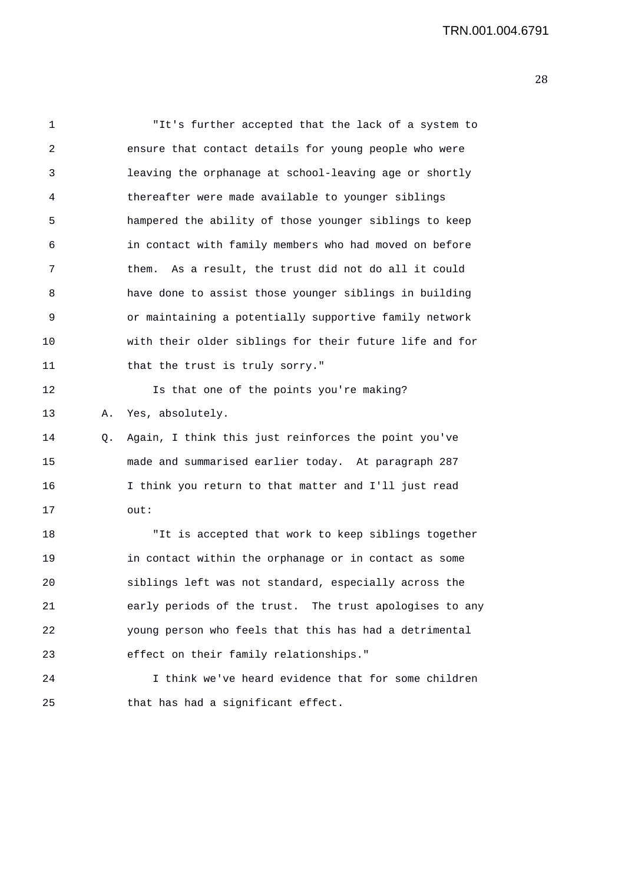1 "It's further accepted that the lack of a system to 2 ensure that contact details for young people who were 3 leaving the orphanage at school-leaving age or shortly 4 thereafter were made available to younger siblings 5 hampered the ability of those younger siblings to keep 6 in contact with family members who had moved on before 7 them. As a result, the trust did not do all it could 8 have done to assist those younger siblings in building 9 or maintaining a potentially supportive family network 10 with their older siblings for their future life and for 11 that the trust is truly sorry." 12 **Is that one of the points you're making?** 13 A. Yes, absolutely. 14 Q. Again, I think this just reinforces the point you've 15 made and summarised earlier today. At paragraph 287 16 I think you return to that matter and I'll just read 17 out: 18 "It is accepted that work to keep siblings together 19 in contact within the orphanage or in contact as some 20 siblings left was not standard, especially across the 21 early periods of the trust. The trust apologises to any 22 young person who feels that this has had a detrimental 23 effect on their family relationships." 24 I think we've heard evidence that for some children 25 that has had a significant effect.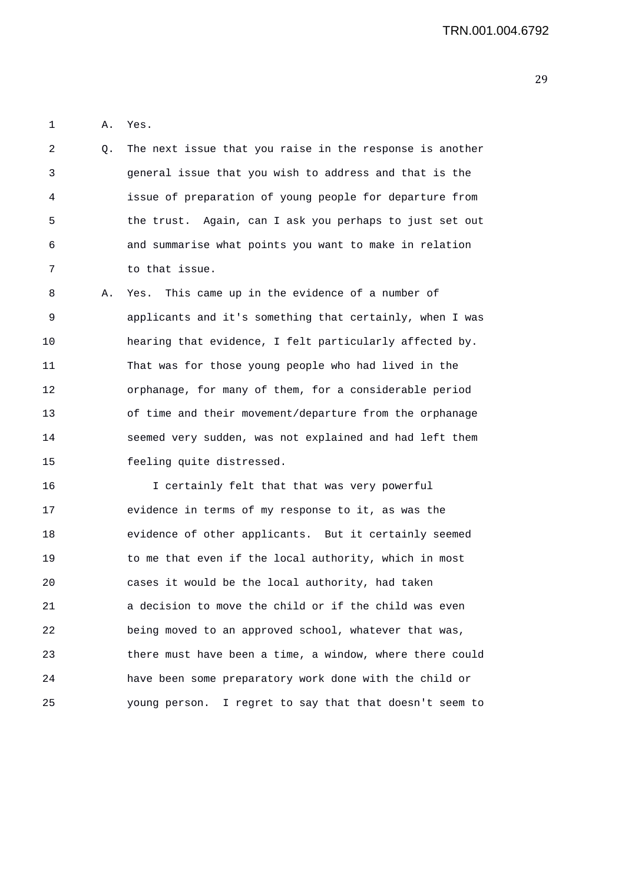1 A. Yes.

- 2 Q. The next issue that you raise in the response is another 3 general issue that you wish to address and that is the 4 issue of preparation of young people for departure from 5 the trust. Again, can I ask you perhaps to just set out 6 and summarise what points you want to make in relation 7 to that issue.
- 8 A. Yes. This came up in the evidence of a number of 9 applicants and it's something that certainly, when I was 10 hearing that evidence, I felt particularly affected by. 11 That was for those young people who had lived in the 12 orphanage, for many of them, for a considerable period 13 of time and their movement/departure from the orphanage 14 seemed very sudden, was not explained and had left them 15 feeling quite distressed.

16 I certainly felt that that was very powerful 17 evidence in terms of my response to it, as was the 18 evidence of other applicants. But it certainly seemed 19 to me that even if the local authority, which in most 20 cases it would be the local authority, had taken 21 a decision to move the child or if the child was even 22 being moved to an approved school, whatever that was, 23 there must have been a time, a window, where there could 24 have been some preparatory work done with the child or 25 young person. I regret to say that that doesn't seem to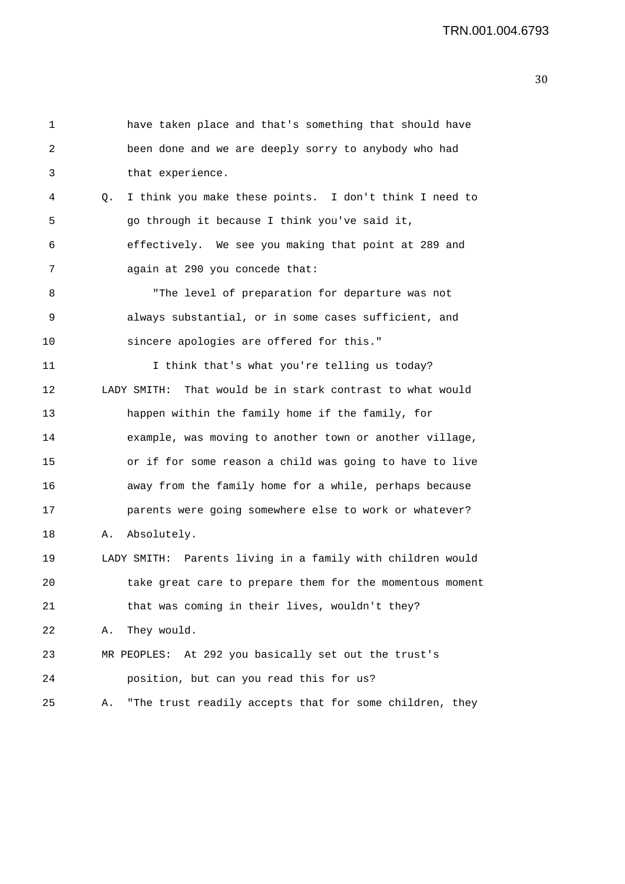```
1 have taken place and that's something that should have 
2 been done and we are deeply sorry to anybody who had 
3 that experience. 
4 Q. I think you make these points. I don't think I need to 
5 go through it because I think you've said it, 
6 effectively. We see you making that point at 289 and 
7 again at 290 you concede that: 
8 "The level of preparation for departure was not 
9 always substantial, or in some cases sufficient, and 
10 sincere apologies are offered for this." 
11 1 I think that's what you're telling us today?
12 LADY SMITH: That would be in stark contrast to what would 
13 happen within the family home if the family, for 
14 example, was moving to another town or another village, 
15 or if for some reason a child was going to have to live 
16 away from the family home for a while, perhaps because 
17 parents were going somewhere else to work or whatever? 
18 A. Absolutely. 
19 LADY SMITH: Parents living in a family with children would 
20 take great care to prepare them for the momentous moment 
21 that was coming in their lives, wouldn't they? 
22 A. They would. 
23 MR PEOPLES: At 292 you basically set out the trust's 
24 position, but can you read this for us? 
25 A. "The trust readily accepts that for some children, they
```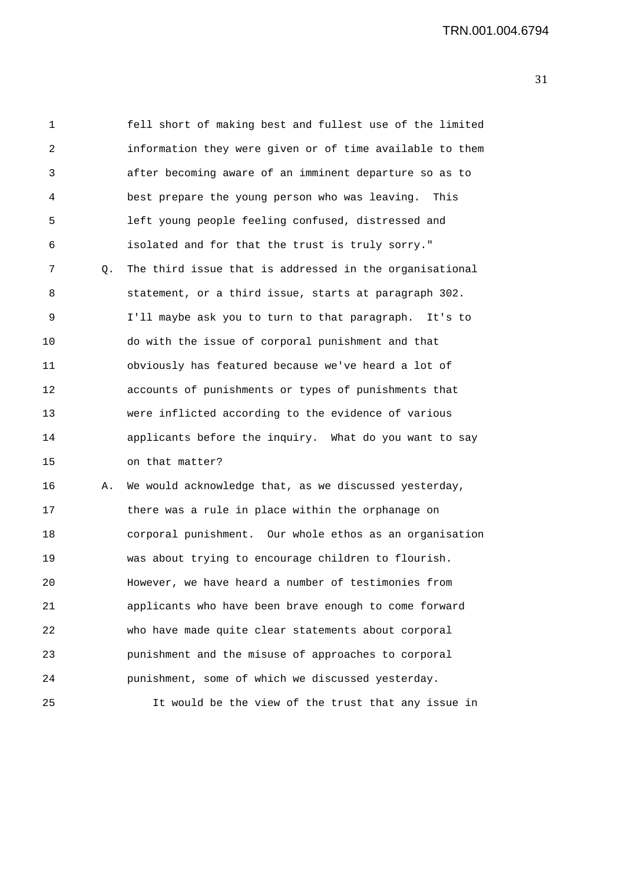| 1  |    | fell short of making best and fullest use of the limited |
|----|----|----------------------------------------------------------|
| 2  |    | information they were given or of time available to them |
| 3  |    | after becoming aware of an imminent departure so as to   |
| 4  |    | best prepare the young person who was leaving.<br>This   |
| 5  |    | left young people feeling confused, distressed and       |
| 6  |    | isolated and for that the trust is truly sorry."         |
| 7  | Q. | The third issue that is addressed in the organisational  |
| 8  |    | statement, or a third issue, starts at paragraph 302.    |
| 9  |    | I'll maybe ask you to turn to that paragraph. It's to    |
| 10 |    | do with the issue of corporal punishment and that        |
| 11 |    | obviously has featured because we've heard a lot of      |
| 12 |    | accounts of punishments or types of punishments that     |
| 13 |    | were inflicted according to the evidence of various      |
| 14 |    | applicants before the inquiry. What do you want to say   |
| 15 |    | on that matter?                                          |
| 16 | Α. | We would acknowledge that, as we discussed yesterday,    |
| 17 |    | there was a rule in place within the orphanage on        |
| 18 |    | corporal punishment. Our whole ethos as an organisation  |
| 19 |    | was about trying to encourage children to flourish.      |
| 20 |    | However, we have heard a number of testimonies from      |
| 21 |    | applicants who have been brave enough to come forward    |
| 22 |    | who have made quite clear statements about corporal      |
| 23 |    | punishment and the misuse of approaches to corporal      |
| 24 |    | punishment, some of which we discussed yesterday.        |
| 25 |    | It would be the view of the trust that any issue in      |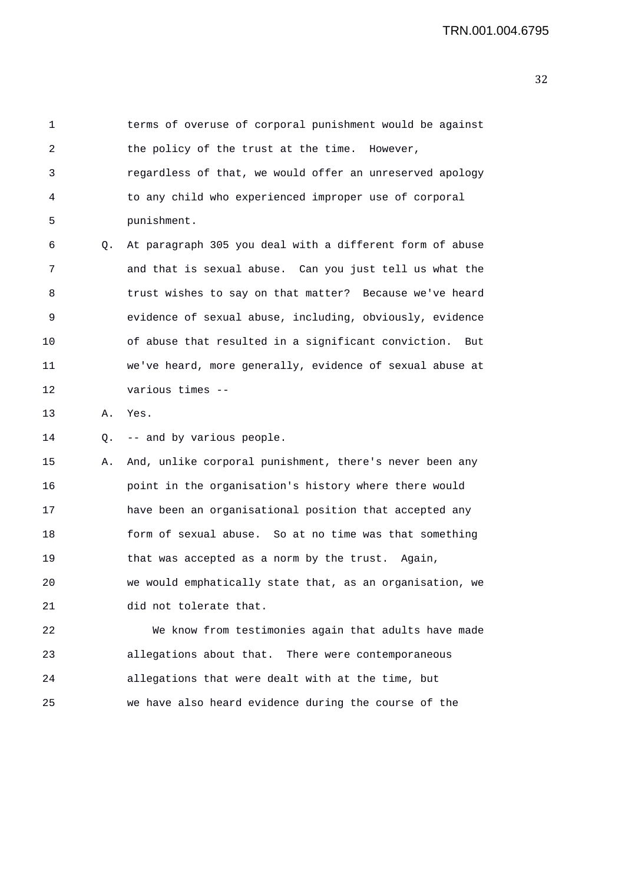1 terms of overuse of corporal punishment would be against 2 the policy of the trust at the time. However, 3 regardless of that, we would offer an unreserved apology 4 to any child who experienced improper use of corporal 5 punishment. 6 Q. At paragraph 305 you deal with a different form of abuse 7 and that is sexual abuse. Can you just tell us what the 8 trust wishes to say on that matter? Because we've heard 9 evidence of sexual abuse, including, obviously, evidence 10 of abuse that resulted in a significant conviction. But 11 we've heard, more generally, evidence of sexual abuse at 12 various times -- 13 A. Yes. 14 Q. -- and by various people. 15 A. And, unlike corporal punishment, there's never been any 16 point in the organisation's history where there would 17 have been an organisational position that accepted any 18 form of sexual abuse. So at no time was that something 19 that was accepted as a norm by the trust. Again, 20 we would emphatically state that, as an organisation, we 21 did not tolerate that. 22 We know from testimonies again that adults have made 23 allegations about that. There were contemporaneous 24 allegations that were dealt with at the time, but 25 we have also heard evidence during the course of the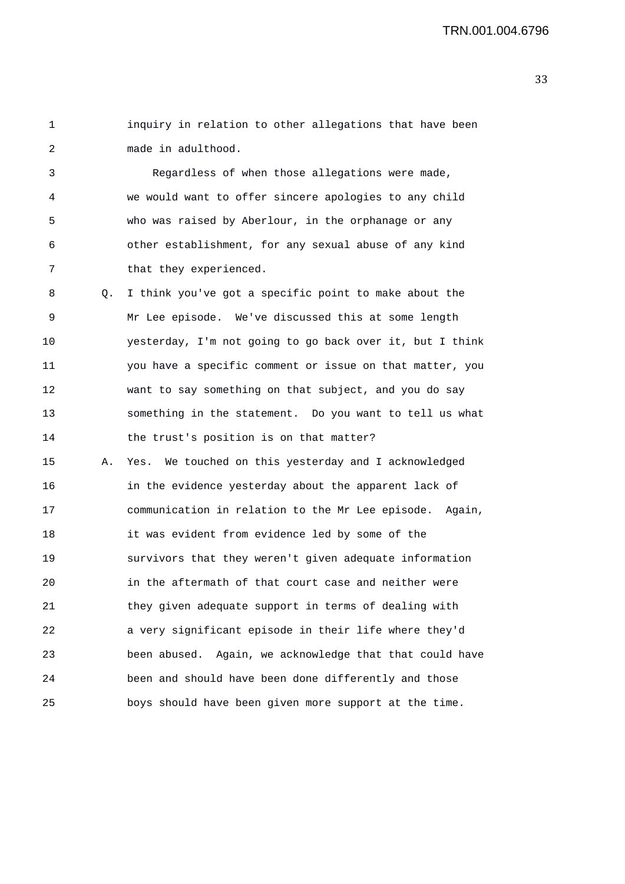1 inquiry in relation to other allegations that have been 2 made in adulthood.

3 Regardless of when those allegations were made, 4 we would want to offer sincere apologies to any child 5 who was raised by Aberlour, in the orphanage or any 6 other establishment, for any sexual abuse of any kind 7 that they experienced.

8 Q. I think you've got a specific point to make about the 9 Mr Lee episode. We've discussed this at some length 10 yesterday, I'm not going to go back over it, but I think 11 you have a specific comment or issue on that matter, you 12 want to say something on that subject, and you do say 13 something in the statement. Do you want to tell us what 14 the trust's position is on that matter?

15 A. Yes. We touched on this yesterday and I acknowledged 16 in the evidence yesterday about the apparent lack of 17 communication in relation to the Mr Lee episode. Again, 18 it was evident from evidence led by some of the 19 survivors that they weren't given adequate information 20 in the aftermath of that court case and neither were 21 they given adequate support in terms of dealing with 22 a very significant episode in their life where they'd 23 been abused. Again, we acknowledge that that could have 24 been and should have been done differently and those 25 boys should have been given more support at the time.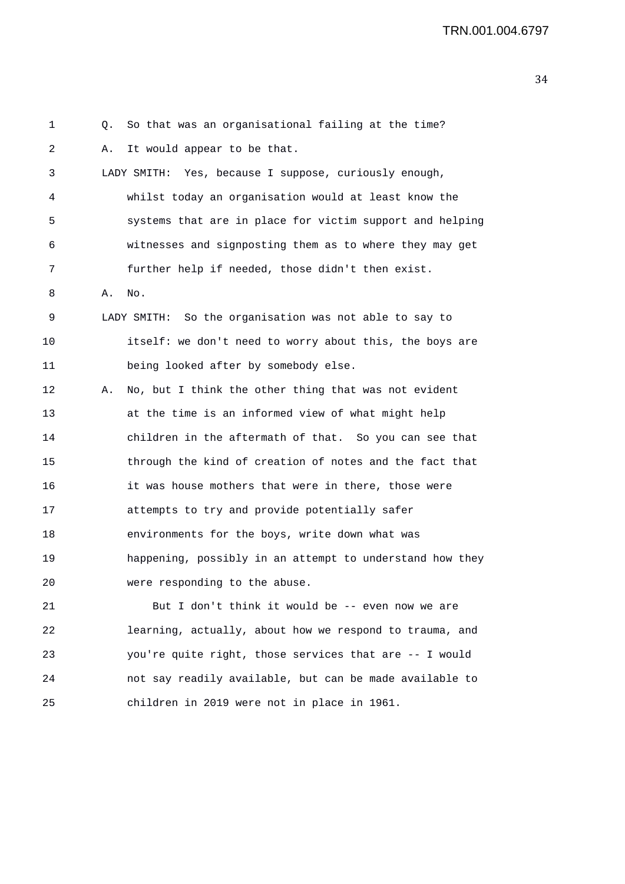1 Q. So that was an organisational failing at the time? 2 A. It would appear to be that. 3 LADY SMITH: Yes, because I suppose, curiously enough, 4 whilst today an organisation would at least know the 5 systems that are in place for victim support and helping 6 witnesses and signposting them as to where they may get 7 further help if needed, those didn't then exist. 8 A. No. 9 LADY SMITH: So the organisation was not able to say to 10 itself: we don't need to worry about this, the boys are 11 being looked after by somebody else. 12 A. No, but I think the other thing that was not evident 13 at the time is an informed view of what might help 14 children in the aftermath of that. So you can see that 15 through the kind of creation of notes and the fact that 16 it was house mothers that were in there, those were 17 attempts to try and provide potentially safer 18 environments for the boys, write down what was 19 happening, possibly in an attempt to understand how they 20 were responding to the abuse. 21 But I don't think it would be -- even now we are 22 learning, actually, about how we respond to trauma, and 23 you're quite right, those services that are -- I would 24 not say readily available, but can be made available to

25 children in 2019 were not in place in 1961.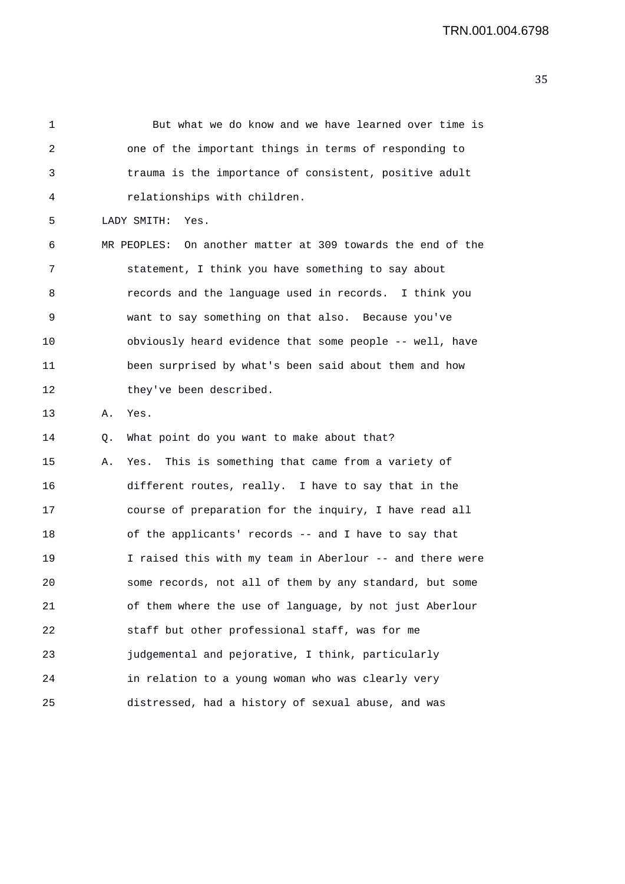1 But what we do know and we have learned over time is 2 one of the important things in terms of responding to 3 trauma is the importance of consistent, positive adult 4 relationships with children. 5 LADY SMITH: Yes. 6 MR PEOPLES: On another matter at 309 towards the end of the 7 statement, I think you have something to say about 8 records and the language used in records. I think you 9 want to say something on that also. Because you've 10 obviously heard evidence that some people -- well, have 11 been surprised by what's been said about them and how 12 they've been described. 13 A. Yes. 14 Q. What point do you want to make about that? 15 A. Yes. This is something that came from a variety of 16 different routes, really. I have to say that in the 17 course of preparation for the inquiry, I have read all 18 of the applicants' records -- and I have to say that 19 I raised this with my team in Aberlour -- and there were 20 some records, not all of them by any standard, but some 21 of them where the use of language, by not just Aberlour 22 staff but other professional staff, was for me 23 judgemental and pejorative, I think, particularly 24 in relation to a young woman who was clearly very 25 distressed, had a history of sexual abuse, and was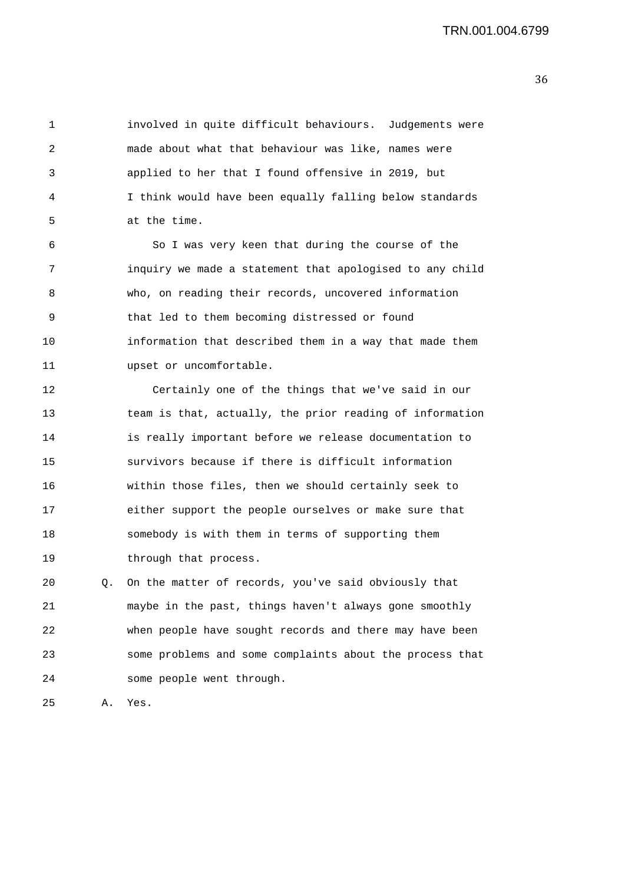1 involved in quite difficult behaviours. Judgements were 2 made about what that behaviour was like, names were 3 applied to her that I found offensive in 2019, but 4 I think would have been equally falling below standards 5 at the time.

6 So I was very keen that during the course of the 7 inquiry we made a statement that apologised to any child 8 who, on reading their records, uncovered information 9 that led to them becoming distressed or found 10 information that described them in a way that made them 11 upset or uncomfortable.

12 Certainly one of the things that we've said in our 13 team is that, actually, the prior reading of information 14 is really important before we release documentation to 15 survivors because if there is difficult information 16 within those files, then we should certainly seek to 17 either support the people ourselves or make sure that 18 somebody is with them in terms of supporting them 19 through that process.

20 Q. On the matter of records, you've said obviously that 21 maybe in the past, things haven't always gone smoothly 22 when people have sought records and there may have been 23 some problems and some complaints about the process that 24 some people went through.

25 A. Yes.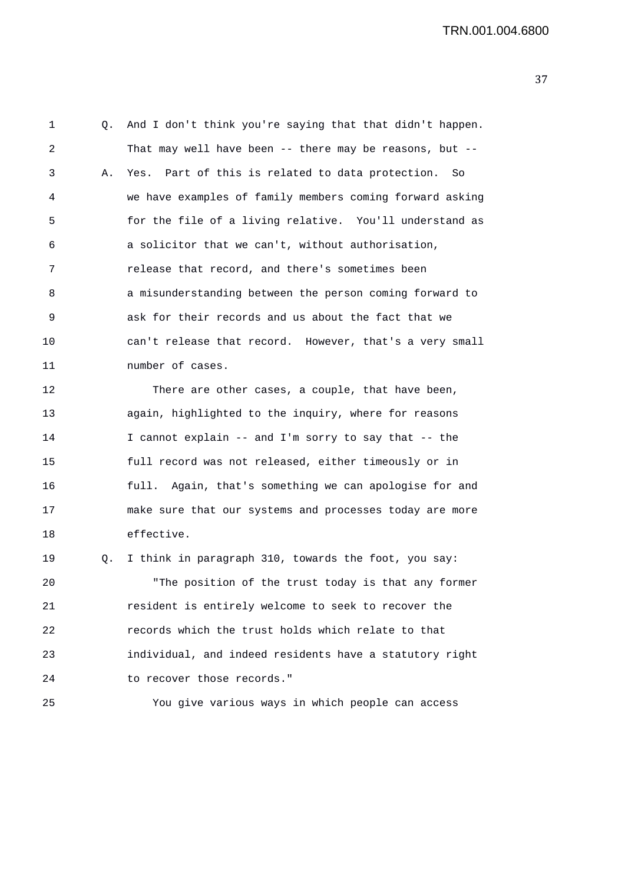1 Q. And I don't think you're saying that that didn't happen. 2 That may well have been -- there may be reasons, but -- 3 A. Yes. Part of this is related to data protection. So 4 we have examples of family members coming forward asking 5 for the file of a living relative. You'll understand as 6 a solicitor that we can't, without authorisation, 7 release that record, and there's sometimes been 8 a misunderstanding between the person coming forward to 9 ask for their records and us about the fact that we 10 can't release that record. However, that's a very small 11 mumber of cases. 12 There are other cases, a couple, that have been,

13 again, highlighted to the inquiry, where for reasons 14 I cannot explain -- and I'm sorry to say that -- the 15 full record was not released, either timeously or in 16 full. Again, that's something we can apologise for and 17 make sure that our systems and processes today are more 18 effective.

19 Q. I think in paragraph 310, towards the foot, you say: 20 "The position of the trust today is that any former 21 resident is entirely welcome to seek to recover the 22 records which the trust holds which relate to that 23 individual, and indeed residents have a statutory right 24 to recover those records."

25 You give various ways in which people can access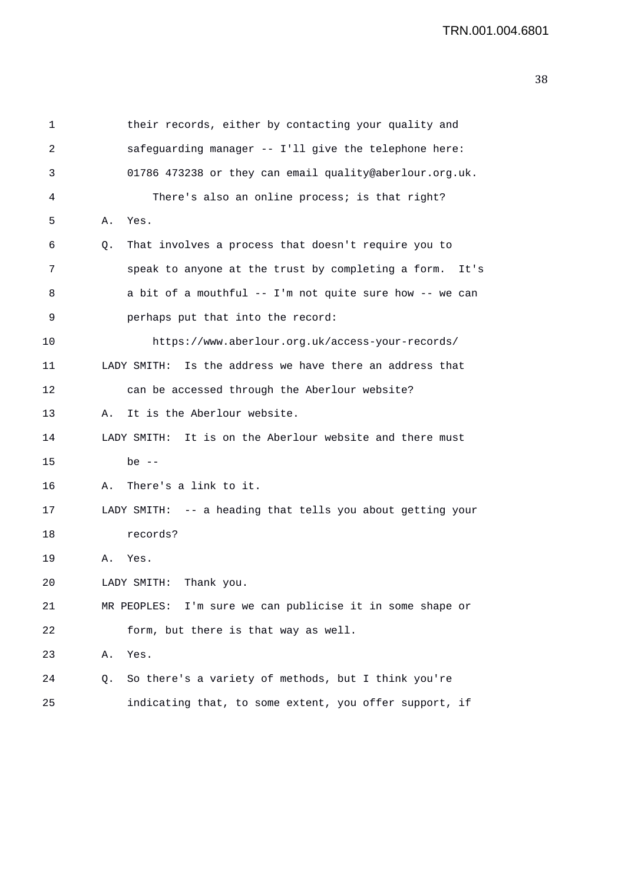1 their records, either by contacting your quality and 2 safeguarding manager -- I'll give the telephone here: 3 01786 473238 or they can email quality@aberlour.org.uk. 4 There's also an online process; is that right? 5 A. Yes. 6 Q. That involves a process that doesn't require you to 7 speak to anyone at the trust by completing a form. It's 8 a bit of a mouthful -- I'm not quite sure how -- we can 9 perhaps put that into the record: 10 https://www.aberlour.org.uk/access-your-records/ 11 LADY SMITH: Is the address we have there an address that 12 can be accessed through the Aberlour website? 13 A. It is the Aberlour website. 14 LADY SMITH: It is on the Aberlour website and there must 15 be -- 16 A. There's a link to it. 17 LADY SMITH: -- a heading that tells you about getting your 18 records? 19 A. Yes. 20 LADY SMITH: Thank you. 21 MR PEOPLES: I'm sure we can publicise it in some shape or 22 form, but there is that way as well. 23 A. Yes. 24 Q. So there's a variety of methods, but I think you're 25 indicating that, to some extent, you offer support, if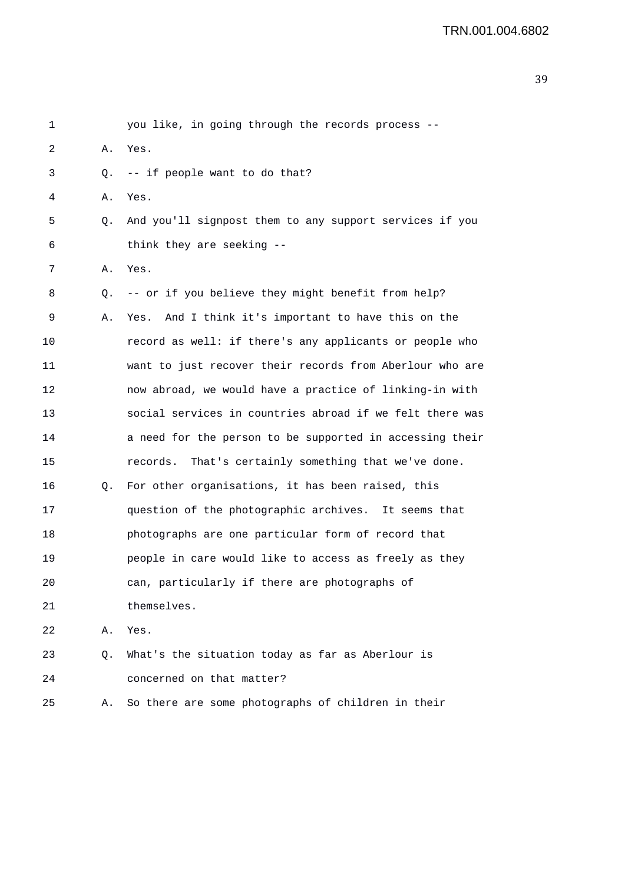| 1  |    | you like, in going through the records process --        |
|----|----|----------------------------------------------------------|
| 2  | Α. | Yes.                                                     |
| 3  | Q. | -- if people want to do that?                            |
| 4  | Α. | Yes.                                                     |
| 5  | Q. | And you'll signpost them to any support services if you  |
| 6  |    | think they are seeking --                                |
| 7  | Α. | Yes.                                                     |
| 8  | Q. | -- or if you believe they might benefit from help?       |
| 9  | Α. | Yes. And I think it's important to have this on the      |
| 10 |    | record as well: if there's any applicants or people who  |
| 11 |    | want to just recover their records from Aberlour who are |
| 12 |    | now abroad, we would have a practice of linking-in with  |
| 13 |    | social services in countries abroad if we felt there was |
| 14 |    | a need for the person to be supported in accessing their |
| 15 |    | That's certainly something that we've done.<br>records.  |
| 16 | Q. | For other organisations, it has been raised, this        |
| 17 |    | question of the photographic archives. It seems that     |
| 18 |    | photographs are one particular form of record that       |
| 19 |    | people in care would like to access as freely as they    |
| 20 |    | can, particularly if there are photographs of            |
| 21 |    | themselves.                                              |
| 22 | Α. | Yes.                                                     |
| 23 | Q. | What's the situation today as far as Aberlour is         |
| 24 |    | concerned on that matter?                                |
| 25 | Α. | So there are some photographs of children in their       |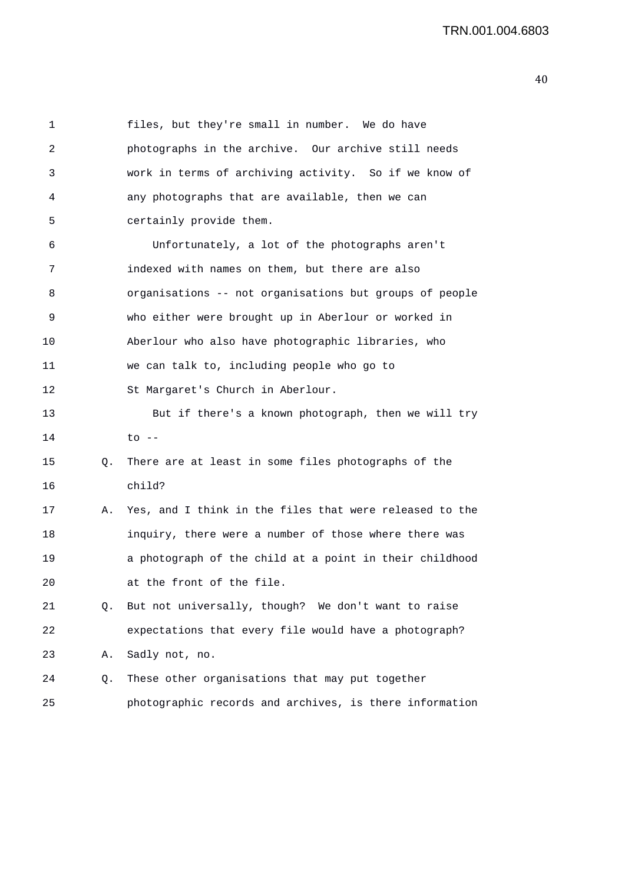1 files, but they're small in number. We do have 2 photographs in the archive. Our archive still needs 3 work in terms of archiving activity. So if we know of 4 any photographs that are available, then we can 5 certainly provide them. 6 Unfortunately, a lot of the photographs aren't 7 indexed with names on them, but there are also 8 organisations -- not organisations but groups of people 9 who either were brought up in Aberlour or worked in 10 Aberlour who also have photographic libraries, who 11 we can talk to, including people who go to 12 St Margaret's Church in Aberlour. 13 But if there's a known photograph, then we will try  $14$  to  $-$ 15 Q. There are at least in some files photographs of the 16 child? 17 A. Yes, and I think in the files that were released to the 18 inquiry, there were a number of those where there was 19 a photograph of the child at a point in their childhood 20 at the front of the file. 21 Q. But not universally, though? We don't want to raise 22 expectations that every file would have a photograph? 23 A. Sadly not, no. 24 Q. These other organisations that may put together 25 photographic records and archives, is there information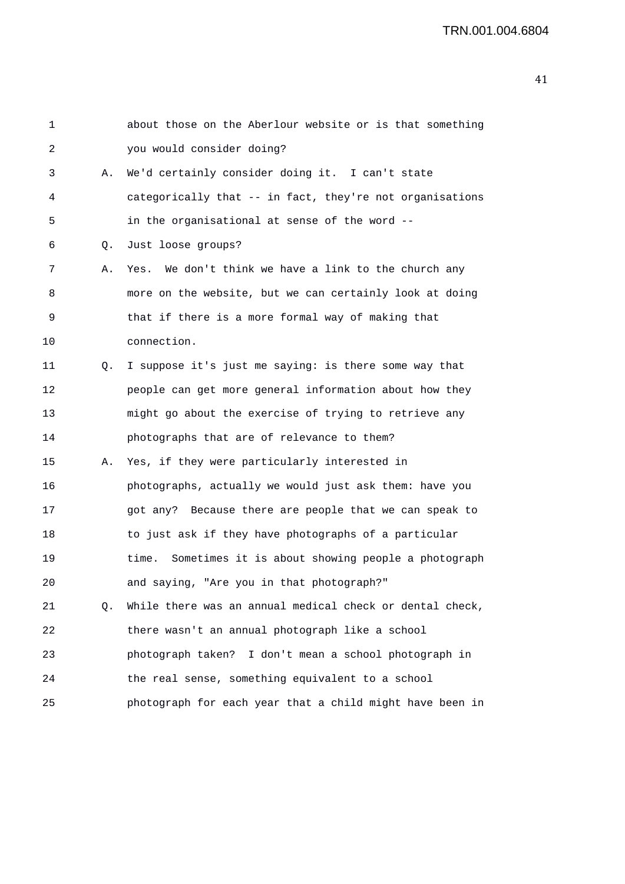| $\mathbf 1$ |    | about those on the Aberlour website or is that something   |
|-------------|----|------------------------------------------------------------|
| 2           |    | you would consider doing?                                  |
| 3           | Α. | We'd certainly consider doing it. I can't state            |
| 4           |    | categorically that -- in fact, they're not organisations   |
| 5           |    | in the organisational at sense of the word --              |
| 6           | Q. | Just loose groups?                                         |
| 7           | Α. | Yes. We don't think we have a link to the church any       |
| 8           |    | more on the website, but we can certainly look at doing    |
| 9           |    | that if there is a more formal way of making that          |
| 10          |    | connection.                                                |
| 11          | Q. | I suppose it's just me saying: is there some way that      |
| 12          |    | people can get more general information about how they     |
| 13          |    | might go about the exercise of trying to retrieve any      |
| 14          |    | photographs that are of relevance to them?                 |
| 15          | Α. | Yes, if they were particularly interested in               |
| 16          |    | photographs, actually we would just ask them: have you     |
| 17          |    | got any? Because there are people that we can speak to     |
| 18          |    | to just ask if they have photographs of a particular       |
| 19          |    | Sometimes it is about showing people a photograph<br>time. |
| 20          |    | and saying, "Are you in that photograph?"                  |
| 21          | Q. | While there was an annual medical check or dental check,   |
| 22          |    | there wasn't an annual photograph like a school            |
| 23          |    | photograph taken? I don't mean a school photograph in      |
| 24          |    | the real sense, something equivalent to a school           |
| 25          |    | photograph for each year that a child might have been in   |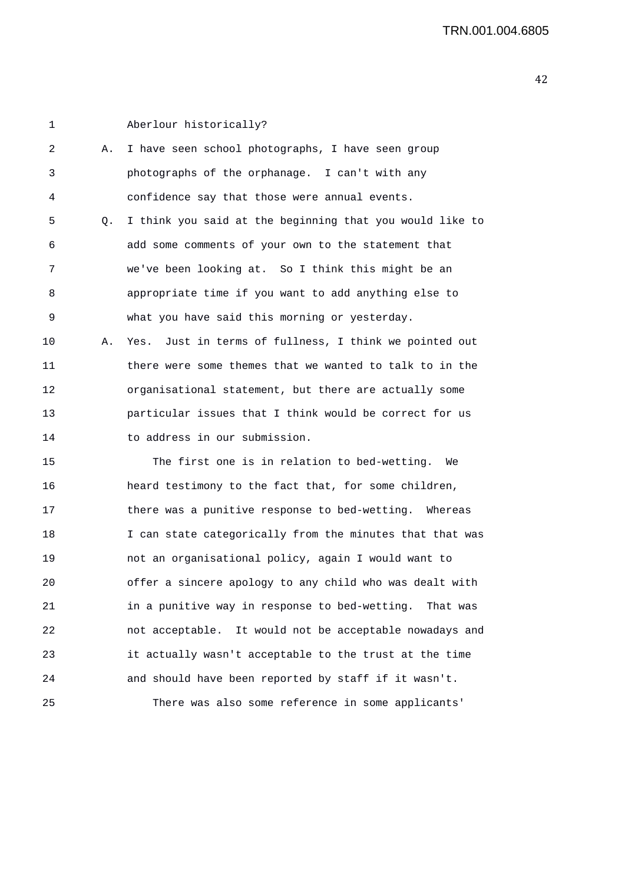1 Aberlour historically? 2 A. I have seen school photographs, I have seen group 3 photographs of the orphanage. I can't with any 4 confidence say that those were annual events. 5 Q. I think you said at the beginning that you would like to 6 add some comments of your own to the statement that 7 we've been looking at. So I think this might be an 8 appropriate time if you want to add anything else to 9 what you have said this morning or yesterday. 10 A. Yes. Just in terms of fullness, I think we pointed out 11 there were some themes that we wanted to talk to in the 12 organisational statement, but there are actually some 13 particular issues that I think would be correct for us 14 to address in our submission. 15 The first one is in relation to bed-wetting. We 16 heard testimony to the fact that, for some children, 17 there was a punitive response to bed-wetting. Whereas 18 I can state categorically from the minutes that that was 19 not an organisational policy, again I would want to 20 offer a sincere apology to any child who was dealt with 21 in a punitive way in response to bed-wetting. That was 22 not acceptable. It would not be acceptable nowadays and 23 it actually wasn't acceptable to the trust at the time 24 and should have been reported by staff if it wasn't. 25 There was also some reference in some applicants'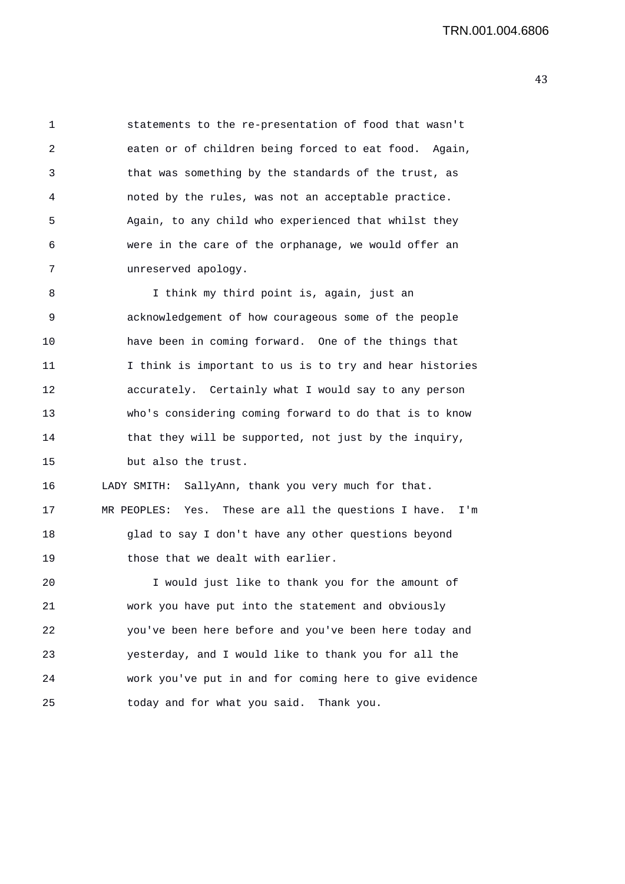1 statements to the re-presentation of food that wasn't 2 eaten or of children being forced to eat food. Again, 3 that was something by the standards of the trust, as 4 noted by the rules, was not an acceptable practice. 5 Again, to any child who experienced that whilst they 6 were in the care of the orphanage, we would offer an 7 unreserved apology.

8 I think my third point is, again, just an 9 acknowledgement of how courageous some of the people 10 have been in coming forward. One of the things that 11 I think is important to us is to try and hear histories 12 accurately. Certainly what I would say to any person 13 who's considering coming forward to do that is to know 14 that they will be supported, not just by the inquiry, 15 but also the trust.

16 LADY SMITH: SallyAnn, thank you very much for that. 17 MR PEOPLES: Yes. These are all the questions I have. I'm 18 glad to say I don't have any other questions beyond 19 those that we dealt with earlier.

20 I would just like to thank you for the amount of 21 work you have put into the statement and obviously 22 you've been here before and you've been here today and 23 yesterday, and I would like to thank you for all the 24 work you've put in and for coming here to give evidence 25 today and for what you said. Thank you.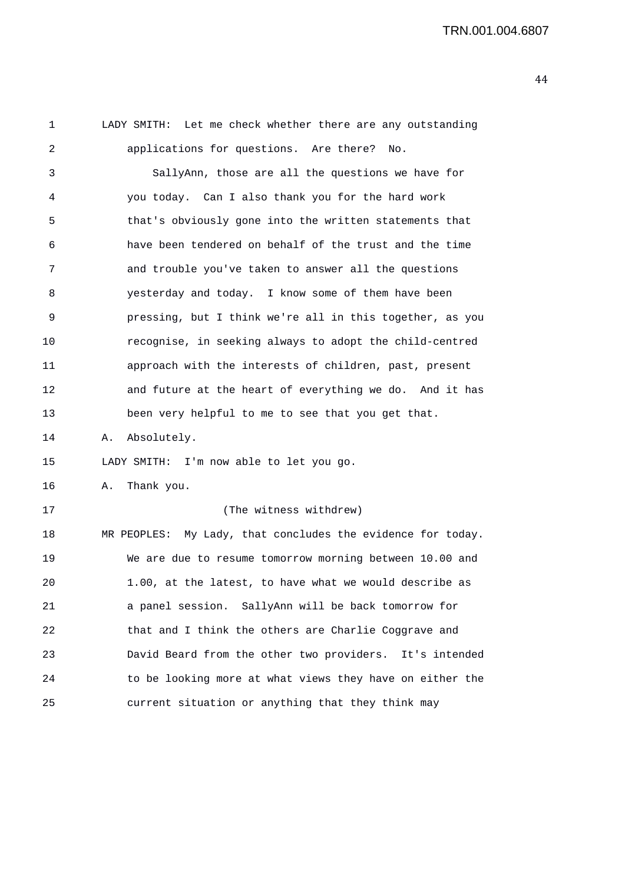1 LADY SMITH: Let me check whether there are any outstanding 2 applications for questions. Are there? No. 3 SallyAnn, those are all the questions we have for 4 you today. Can I also thank you for the hard work 5 that's obviously gone into the written statements that 6 have been tendered on behalf of the trust and the time 7 and trouble you've taken to answer all the questions 8 yesterday and today. I know some of them have been 9 pressing, but I think we're all in this together, as you 10 recognise, in seeking always to adopt the child-centred 11 approach with the interests of children, past, present 12 and future at the heart of everything we do. And it has 13 been very helpful to me to see that you get that. 14 A. Absolutely. 15 LADY SMITH: I'm now able to let you go. 16 A. Thank you. 17 (The witness withdrew) 18 MR PEOPLES: My Lady, that concludes the evidence for today. 19 We are due to resume tomorrow morning between 10.00 and 20 1.00, at the latest, to have what we would describe as 21 a panel session. SallyAnn will be back tomorrow for 22 that and I think the others are Charlie Coggrave and 23 David Beard from the other two providers. It's intended 24 to be looking more at what views they have on either the 25 current situation or anything that they think may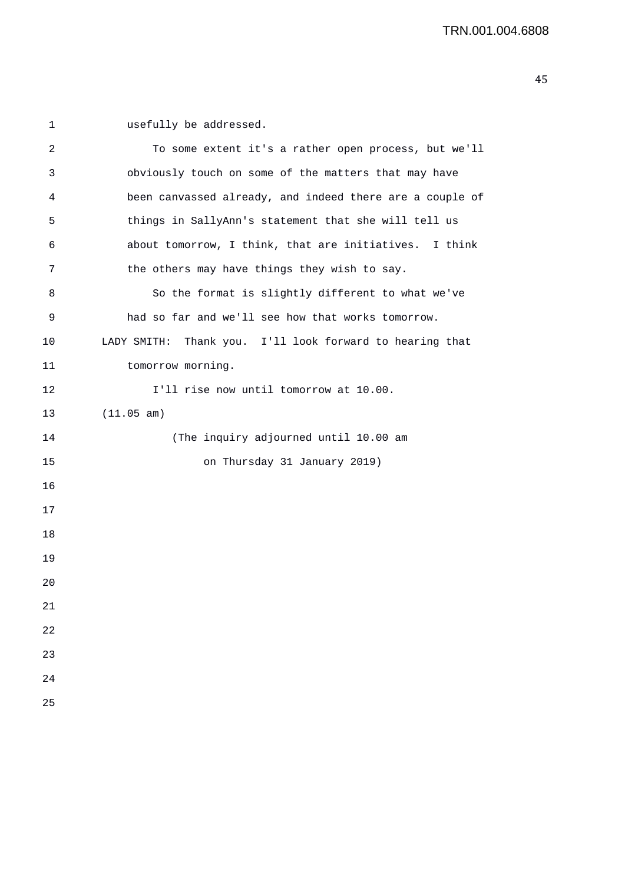1 usefully be addressed.

| 2  | To some extent it's a rather open process, but we'll     |
|----|----------------------------------------------------------|
| 3  | obviously touch on some of the matters that may have     |
| 4  | been canvassed already, and indeed there are a couple of |
| 5  | things in SallyAnn's statement that she will tell us     |
| 6  | about tomorrow, I think, that are initiatives. I think   |
| 7  | the others may have things they wish to say.             |
| 8  | So the format is slightly different to what we've        |
| 9  | had so far and we'll see how that works tomorrow.        |
| 10 | LADY SMITH: Thank you. I'll look forward to hearing that |
| 11 | tomorrow morning.                                        |
| 12 | I'll rise now until tomorrow at 10.00.                   |
| 13 | (11.05 am)                                               |
| 14 | (The inquiry adjourned until 10.00 am                    |
| 15 | on Thursday 31 January 2019)                             |
| 16 |                                                          |
| 17 |                                                          |
| 18 |                                                          |
| 19 |                                                          |
| 20 |                                                          |
| 21 |                                                          |
| 22 |                                                          |
| 23 |                                                          |
| 24 |                                                          |
| 25 |                                                          |